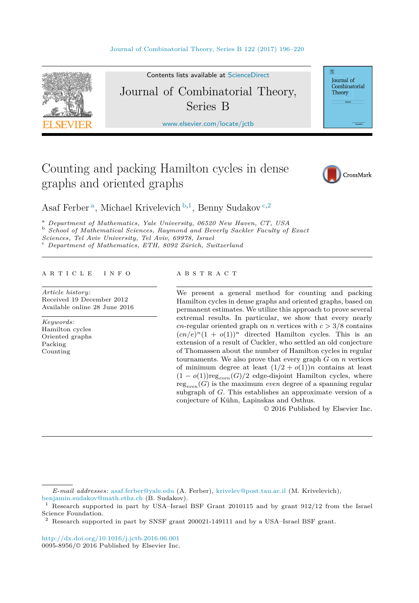

Contents lists available at [ScienceDirect](http://www.ScienceDirect.com/)

# Journal of Combinatorial Theory, Series B

[www.elsevier.com/locate/jctb](http://www.elsevier.com/locate/jctb)

# Counting and packing Hamilton cycles in dense graphs and oriented graphs



Journal of Combinatorial Theory

Asaf Ferber<sup>a</sup>, Michael Krivelevich<sup>b,1</sup>, Benny Sudakov<sup>c,2</sup>

<sup>a</sup> Department of Mathematics, Yale University, 06520 New Haven, CT, USA<br><sup>b</sup> School of Mathematical Sciences, Raymond and Beverly Sackler Faculty of Exact<br>Sciences, Tel Aviv University, Tel Aviv, 69978, Israel

*Sciences, Tel Aviv University, Tel Aviv, 69978, Israel* <sup>c</sup> *Department of Mathematics, ETH, <sup>8092</sup> Zürich, Switzerland*

#### A R T I C L E I N F O A B S T R A C T

*Article history:* Received 19 December 2012 Available online 28 June 2016

*Keywords:* Hamilton cycles Oriented graphs Packing Counting

We present a general method for counting and packing Hamilton cycles in dense graphs and oriented graphs, based on permanent estimates. We utilize this approach to prove several extremal results. In particular, we show that every nearly *cn*-regular oriented graph on *n* vertices with  $c > 3/8$  contains  $(cn/e)^n(1 + o(1))^n$  directed Hamilton cycles. This is an extension of a result of Cuckler, who settled an old conjecture of Thomassen about the number of Hamilton cycles in regular tournaments. We also prove that every graph *G* on *n* vertices of minimum degree at least  $(1/2 + o(1))n$  contains at least  $(1 - o(1))$ reg<sub>even</sub> $(G)/2$  edge-disjoint Hamilton cycles, where  $reg_{even}(G)$  is the maximum *even* degree of a spanning regular subgraph of *G*. This establishes an approximate version of a conjecture of Kühn, Lapinskas and Osthus.

© 2016 Published by Elsevier Inc.

<http://dx.doi.org/10.1016/j.jctb.2016.06.001> 0095-8956/© 2016 Published by Elsevier Inc.

*E-mail addresses:* [asaf.ferber@yale.edu](mailto:asaf.ferber@yale.edu) (A. Ferber), [krivelev@post.tau.ac.il](mailto:krivelev@post.tau.ac.il) (M. Krivelevich), [benjamin.sudakov@math.ethz.ch](mailto:benjamin.sudakov@math.ethz.ch) (B. Sudakov).

<sup>1</sup> Research supported in part by USA–Israel BSF Grant 2010115 and by grant 912/12 from the Israel Science Foundation.

<sup>2</sup> Research supported in part by SNSF grant 200021-149111 and by a USA–Israel BSF grant.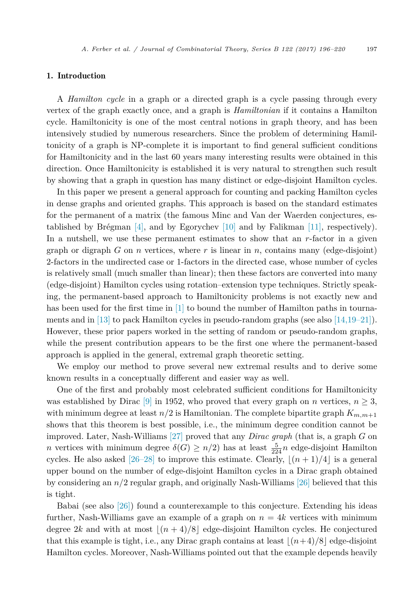#### 1. Introduction

A *Hamilton cycle* in a graph or a directed graph is a cycle passing through every vertex of the graph exactly once, and a graph is *Hamiltonian* if it contains a Hamilton cycle. Hamiltonicity is one of the most central notions in graph theory, and has been intensively studied by numerous researchers. Since the problem of determining Hamiltonicity of a graph is NP-complete it is important to find general sufficient conditions for Hamiltonicity and in the last 60 years many interesting results were obtained in this direction. Once Hamiltonicity is established it is very natural to strengthen such result by showing that a graph in question has many distinct or edge-disjoint Hamilton cycles.

In this paper we present a general approach for counting and packing Hamilton cycles in dense graphs and oriented graphs. This approach is based on the standard estimates for the permanent of a matrix (the famous Minc and Van der Waerden conjectures, es-tablished by Brégman [\[4\],](#page-23-0) and by Egorychev [\[10\]](#page-23-0) and by Falikman [\[11\],](#page-23-0) respectively). In a nutshell, we use these permanent estimates to show that an *r*-factor in a given graph or digraph *G* on *n* vertices, where *r* is linear in *n*, contains many (edge-disjoint) 2-factors in the undirected case or 1-factors in the directed case, whose number of cycles is relatively small (much smaller than linear); then these factors are converted into many (edge-disjoint) Hamilton cycles using rotation–extension type techniques. Strictly speaking, the permanent-based approach to Hamiltonicity problems is not exactly new and has been used for the first time in [\[1\]](#page-23-0) to bound the number of Hamilton paths in tournaments and in [\[13\]](#page-23-0) to pack Hamilton cycles in pseudo-random graphs (see also [\[14,19–21\]\)](#page-23-0). However, these prior papers worked in the setting of random or pseudo-random graphs, while the present contribution appears to be the first one where the permanent-based approach is applied in the general, extremal graph theoretic setting.

We employ our method to prove several new extremal results and to derive some known results in a conceptually different and easier way as well.

One of the first and probably most celebrated sufficient conditions for Hamiltonicity was established by Dirac [\[9\]](#page-23-0) in 1952, who proved that every graph on *n* vertices,  $n \geq 3$ , with minimum degree at least  $n/2$  is Hamiltonian. The complete bipartite graph  $K_{m,m+1}$ shows that this theorem is best possible, i.e., the minimum degree condition cannot be improved. Later, Nash-Williams [\[27\]](#page-24-0) proved that any *Dirac graph* (that is, a graph *G* on *n* vertices with minimum degree  $\delta(G) \geq n/2$ ) has at least  $\frac{5}{224}n$  edge-disjoint Hamilton cycles. He also asked  $[26–28]$  to improve this estimate. Clearly,  $|(n+1)/4|$  is a general upper bound on the number of edge-disjoint Hamilton cycles in a Dirac graph obtained by considering an *n/*2 regular graph, and originally Nash-Williams [\[26\]](#page-24-0) believed that this is tight.

Babai (see also [\[26\]\)](#page-24-0) found a counterexample to this conjecture. Extending his ideas further, Nash-Williams gave an example of a graph on  $n = 4k$  vertices with minimum degree 2*k* and with at most  $|(n+4)/8|$  edge-disjoint Hamilton cycles. He conjectured that this example is tight, i.e., any Dirac graph contains at least  $|(n+4)/8|$  edge-disjoint Hamilton cycles. Moreover, Nash-Williams pointed out that the example depends heavily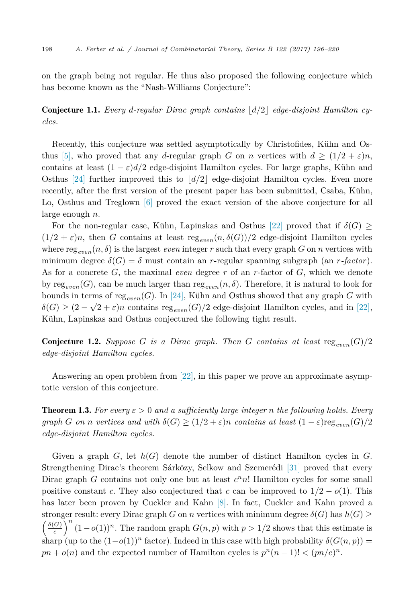<span id="page-2-0"></span>on the graph being not regular. He thus also proposed the following conjecture which has become known as the "Nash-Williams Conjecture":

Conjecture 1.1. *Every d-regular Dirac graph contains d/*2 *edge-disjoint Hamilton cycles.*

Recently, this conjecture was settled asymptotically by Christofides, Kühn and Os-thus [\[5\],](#page-23-0) who proved that any *d*-regular graph *G* on *n* vertices with  $d \geq (1/2 + \varepsilon)n$ , contains at least  $(1 - \varepsilon)d/2$  edge-disjoint Hamilton cycles. For large graphs, Kühn and Osthus [\[24\]](#page-24-0) further improved this to  $|d/2|$  edge-disjoint Hamilton cycles. Even more recently, after the first version of the present paper has been submitted, Csaba, Kühn, Lo, Osthus and Treglown [\[6\]](#page-23-0) proved the exact version of the above conjecture for all large enough *n*.

For the non-regular case, Kühn, Lapinskas and Osthus [\[22\]](#page-24-0) proved that if  $\delta(G)$  $(1/2 + \varepsilon)n$ , then *G* contains at least reg<sub>even</sub> $(n, \delta(G))/2$  edge-disjoint Hamilton cycles where reg<sub>even</sub> $(n, \delta)$  is the largest *even* integer r such that every graph *G* on *n* vertices with minimum degree  $\delta(G) = \delta$  must contain an *r*-regular spanning subgraph (an *r*-factor). As for a concrete *G*, the maximal *even* degree *r* of an *r*-factor of *G*, which we denote by reg<sub>even</sub>(*G*), can be much larger than reg<sub>even</sub> $(n, \delta)$ . Therefore, it is natural to look for bounds in terms of reg<sub>even</sub>(*G*). In [\[24\],](#page-24-0) Kühn and Osthus showed that any graph *G* with  $\delta(G) \geq (2 - \sqrt{2} + \varepsilon)n$  contains reg<sub>enen</sub>  $(G)/2$  edge-disjoint Hamilton cycles, and in [\[22\],](#page-24-0) Kühn, Lapinskas and Osthus conjectured the following tight result.

**Conjecture 1.2.** *Suppose G is a Dirac graph. Then G contains at least* reg<sub>eren</sub> $(G)/2$ *edge-disjoint Hamilton cycles.*

Answering an open problem from [\[22\],](#page-24-0) in this paper we prove an approximate asymptotic version of this conjecture.

**Theorem 1.3.** For every  $\varepsilon > 0$  and a sufficiently large integer *n* the following holds. Every *graph G on n vertices and with*  $\delta(G) \geq (1/2 + \varepsilon)n$  *contains at least*  $(1 - \varepsilon) \text{reg}_{\varepsilon \text{norm}}(G)/2$ *edge-disjoint Hamilton cycles.*

Given a graph *G*, let *h*(*G*) denote the number of distinct Hamilton cycles in *G*. Strengthening Dirac's theorem Sárközy, Selkow and Szemerédi [\[31\]](#page-24-0) proved that every Dirac graph *G* contains not only one but at least *c<sup>n</sup>n*! Hamilton cycles for some small positive constant *c*. They also conjectured that *c* can be improved to  $1/2 - o(1)$ . This has later been proven by Cuckler and Kahn [\[8\].](#page-23-0) In fact, Cuckler and Kahn proved a stronger result: every Dirac graph *G* on *n* vertices with minimum degree  $\delta(G)$  has  $h(G) \geq$  $\int$  $\delta(G)$  $\left(\frac{G}{e}\right)^n (1-o(1))^n$ . The random graph *G*(*n, p*) with *p* > 1/2 shows that this estimate is sharp (up to the  $(1-o(1))^n$  factor). Indeed in this case with high probability  $\delta(G(n, p))$  =  $pn + o(n)$  and the expected number of Hamilton cycles is  $p^n(n-1)! < (pn/e)^n$ .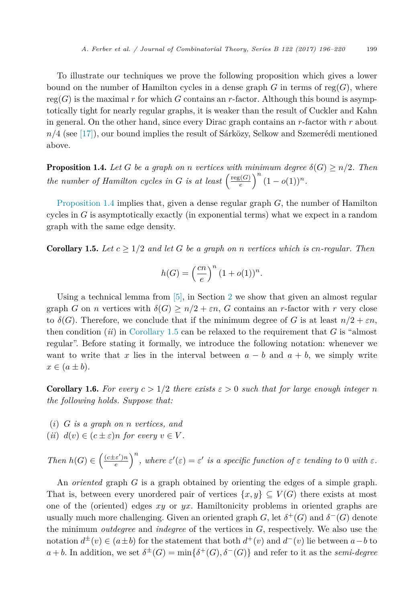<span id="page-3-0"></span>To illustrate our techniques we prove the following proposition which gives a lower bound on the number of Hamilton cycles in a dense graph  $G$  in terms of reg $(G)$ , where  $reg(G)$  is the maximal r for which G contains an r-factor. Although this bound is asymptotically tight for nearly regular graphs, it is weaker than the result of Cuckler and Kahn in general. On the other hand, since every Dirac graph contains an *r*-factor with *r* about *n/*4 (see [\[17\]\)](#page-23-0), our bound implies the result of Sárközy, Selkow and Szemerédi mentioned above.

**Proposition 1.4.** *Let G be a graph on n vertices with minimum degree*  $\delta(G) \geq n/2$ *. Then the number of Hamilton cycles in G is at least*  $\left(\frac{\text{reg}(G)}{e}\right)$  $\int_{e}^{(G)} \left(1 - o(1)\right)^n$ .

Proposition 1.4 implies that, given a dense regular graph *G*, the number of Hamilton cycles in *G* is asymptotically exactly (in exponential terms) what we expect in a random graph with the same edge density.

**Corollary 1.5.** Let  $c > 1/2$  and let G be a graph on *n* vertices which is cn-regular. Then

$$
h(G) = \left(\frac{cn}{e}\right)^n (1 + o(1))^n.
$$

Using a technical lemma from  $[5]$ , in Section [2](#page-5-0) we show that given an almost regular graph *G* on *n* vertices with  $\delta(G) \geq n/2 + \varepsilon n$ , *G* contains an *r*-factor with *r* very close to  $\delta(G)$ . Therefore, we conclude that if the minimum degree of G is at least  $n/2 + \varepsilon n$ , then condition (*ii*) in Corollary 1.5 can be relaxed to the requirement that *G* is "almost regular". Before stating it formally, we introduce the following notation: whenever we want to write that *x* lies in the interval between  $a - b$  and  $a + b$ , we simply write  $x \in (a \pm b).$ 

**Corollary 1.6.** For every  $c > 1/2$  there exists  $\varepsilon > 0$  such that for large enough integer n *the following holds. Suppose that:*

- (*i*) *G is a graph on n vertices, and*
- (*ii*)  $d(v) \in (c \pm \varepsilon)n$  for every  $v \in V$ .

*Then*  $h(G) \in \left(\frac{(c \pm \varepsilon')n}{e}\right)$  $\left(\frac{e}{e}\right)^n$ , *where*  $\varepsilon'(\varepsilon) = \varepsilon'$  *is a specific function of*  $\varepsilon$  *tending to* 0 *with*  $\varepsilon$ *.* 

An *oriented* graph *G* is a graph obtained by orienting the edges of a simple graph. That is, between every unordered pair of vertices  $\{x, y\} \subseteq V(G)$  there exists at most one of the (oriented) edges *xy* or *yx*. Hamiltonicity problems in oriented graphs are usually much more challenging. Given an oriented graph *G*, let  $\delta^+(G)$  and  $\delta^-(G)$  denote the minimum *outdegree* and *indegree* of the vertices in *G*, respectively. We also use the notation  $d^{\pm}(v) \in (a \pm b)$  for the statement that both  $d^+(v)$  and  $d^-(v)$  lie between  $a - b$  to  $a + b$ . In addition, we set  $\delta^{\pm}(G) = \min\{\delta^{+}(G), \delta^{-}(G)\}\$ and refer to it as the *semi-degree*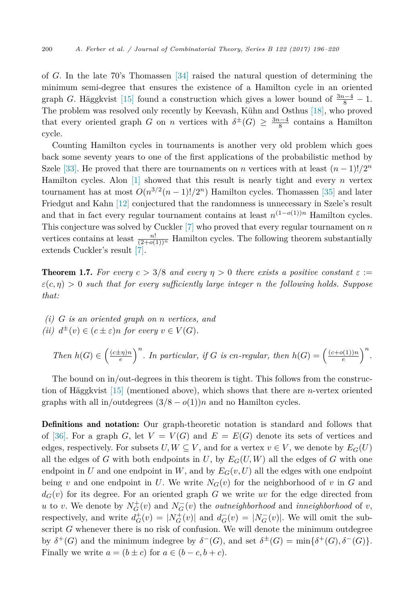<span id="page-4-0"></span>of *G*. In the late 70's Thomassen [\[34\]](#page-24-0) raised the natural question of determining the minimum semi-degree that ensures the existence of a Hamilton cycle in an oriented graph *G*. Häggkvist [\[15\]](#page-23-0) found a construction which gives a lower bound of  $\frac{3n-4}{8} - 1$ . The problem was resolved only recently by Keevash, Kühn and Osthus [\[18\],](#page-23-0) who proved that every oriented graph *G* on *n* vertices with  $\delta^{\pm}(G) \geq \frac{3n-4}{8}$  contains a Hamilton cycle.

Counting Hamilton cycles in tournaments is another very old problem which goes back some seventy years to one of the first applications of the probabilistic method by Szele [\[33\].](#page-24-0) He proved that there are tournaments on *n* vertices with at least  $(n-1)!/2^n$ Hamilton cycles. Alon [\[1\]](#page-23-0) showed that this result is nearly tight and every *n* vertex tournament has at most  $O(n^{3/2}(n-1)!/2^n)$  Hamilton cycles. Thomassen [\[35\]](#page-24-0) and later Friedgut and Kahn [\[12\]](#page-23-0) conjectured that the randomness is unnecessary in Szele's result and that in fact every regular tournament contains at least  $n^{(1-o(1))n}$  Hamilton cycles. This conjecture was solved by Cuckler [\[7\]](#page-23-0) who proved that every regular tournament on *n* vertices contains at least  $\frac{n!}{(2+o(1))^n}$  Hamilton cycles. The following theorem substantially extends Cuckler's result [\[7\].](#page-23-0)

**Theorem 1.7.** *For every*  $c > 3/8$  *and every*  $\eta > 0$  *there exists a positive constant*  $\varepsilon :=$  $\varepsilon$ (*c,*  $\eta$ ) > 0 *such that for every sufficiently large integer n the following holds. Suppose that:*

*(i) G is an oriented graph on n vertices, and (ii)*  $d^{\pm}(v) \in (c \pm \varepsilon)n$  *for every*  $v \in V(G)$ *.* 

Then 
$$
h(G) \in \left(\frac{(c \pm \eta)n}{e}\right)^n
$$
. In particular, if G is cn-regular, then  $h(G) = \left(\frac{(c+o(1))n}{e}\right)^n$ .

The bound on in/out-degrees in this theorem is tight. This follows from the construction of Häggkvist [\[15\]](#page-23-0) (mentioned above), which shows that there are *n*-vertex oriented graphs with all in/outdegrees  $(3/8 - o(1))n$  and no Hamilton cycles.

Definitions and notation: Our graph-theoretic notation is standard and follows that of [\[36\].](#page-24-0) For a graph *G*, let  $V = V(G)$  and  $E = E(G)$  denote its sets of vertices and edges, respectively. For subsets  $U, W \subseteq V$ , and for a vertex  $v \in V$ , we denote by  $E_G(U)$ all the edges of *G* with both endpoints in *U*, by  $E_G(U, W)$  all the edges of *G* with one endpoint in *U* and one endpoint in *W*, and by  $E_G(v, U)$  all the edges with one endpoint being *v* and one endpoint in *U*. We write  $N_G(v)$  for the neighborhood of *v* in *G* and  $d_G(v)$  for its degree. For an oriented graph *G* we write *uv* for the edge directed from *u* to *v*. We denote by  $N_G^+(v)$  and  $N_G^-(v)$  the *outneighborhood* and *inneighborhood* of *v*, respectively, and write  $d_G^+(v) = |N_G^+(v)|$  and  $d_G^-(v) = |N_G^-(v)|$ . We will omit the subscript *G* whenever there is no risk of confusion. We will denote the minimum outdegree by  $\delta^+(G)$  and the minimum indegree by  $\delta^-(G)$ , and set  $\delta^{\pm}(G) = \min{\delta^+(G), \delta^-(G)}$ . Finally we write  $a = (b \pm c)$  for  $a \in (b - c, b + c)$ .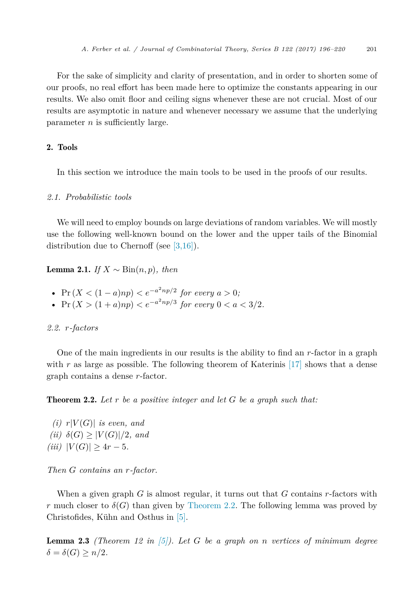<span id="page-5-0"></span>For the sake of simplicity and clarity of presentation, and in order to shorten some of our proofs, no real effort has been made here to optimize the constants appearing in our results. We also omit floor and ceiling signs whenever these are not crucial. Most of our results are asymptotic in nature and whenever necessary we assume that the underlying parameter *n* is sufficiently large.

# 2. Tools

In this section we introduce the main tools to be used in the proofs of our results.

#### *2.1. Probabilistic tools*

We will need to employ bounds on large deviations of random variables. We will mostly use the following well-known bound on the lower and the upper tails of the Binomial distribution due to Chernoff (see [\[3,16\]\)](#page-23-0).

Lemma 2.1. *If X* ∼ Bin(*n, p*)*, then*

- $\Pr(X < (1-a)np) < e^{-a^2np/2}$  *for every*  $a > 0$ ;
- Pr  $(X > (1 + a)np) < e^{-a^2np/3}$  *for every* 0 < *a* < 3/2*.*

## *2.2. r-factors*

One of the main ingredients in our results is the ability to find an *r*-factor in a graph with r as large as possible. The following theorem of Katerinis [\[17\]](#page-23-0) shows that a dense graph contains a dense *r*-factor.

Theorem 2.2. *Let r be a positive integer and let G be a graph such that:*

 $(i)$   $r|V(G)|$  *is even, and*  $(iii)$   $\delta(G) \geq |V(G)|/2$ *, and*  $(iii)$   $|V(G)| \geq 4r - 5$ *.* 

*Then G contains an r-factor.*

When a given graph *G* is almost regular, it turns out that *G* contains *r*-factors with *r* much closer to  $\delta(G)$  than given by Theorem 2.2. The following lemma was proved by Christofides, Kühn and Osthus in [\[5\].](#page-23-0)

Lemma 2.3 *(Theorem 12 in [\[5\]\)](#page-23-0). Let G be a graph on n vertices of minimum degree*  $\delta = \delta(G) \geq n/2$ *.*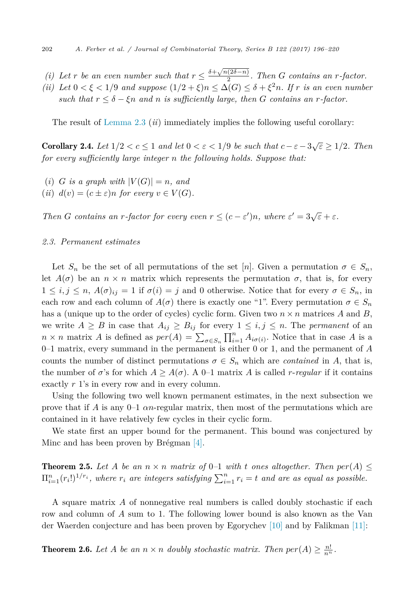- <span id="page-6-0"></span>*(i)* Let *r* be an even number such that  $r \leq \frac{\delta + \sqrt{n(2\delta - n)}}{2}$ . Then *G* contains an *r*-factor.
- *(ii)* Let  $0 < \xi < 1/9$  and suppose  $(1/2 + \xi)n \le \Delta(G) \le \delta + \xi^2 n$ . If *r* is an even number *such that*  $r \leq \delta - \xi n$  *and n is sufficiently large, then G contains an r*-factor.

The result of [Lemma 2.3](#page-5-0) (*ii*) immediately implies the following useful corollary:

**Corollary 2.4.** Let  $1/2 < c \leq 1$  and let  $0 < \varepsilon < 1/9$  be such that  $c - \varepsilon - 3\sqrt{\varepsilon} \geq 1/2$ . Then *for every sufficiently large integer n the following holds. Suppose that:*

- $(i)$  *G is a graph with*  $|V(G)| = n$ *, and*
- $(iii)$   $d(v) = (c \pm \varepsilon)n$  for every  $v \in V(G)$ .

*Then G contains an r-factor for every even*  $r \leq (c - \varepsilon')n$ *,* where  $\varepsilon' = 3\sqrt{\varepsilon} + \varepsilon$ *.* 

# *2.3. Permanent estimates*

Let  $S_n$  be the set of all permutations of the set [*n*]. Given a permutation  $\sigma \in S_n$ , let  $A(\sigma)$  be an  $n \times n$  matrix which represents the permutation  $\sigma$ , that is, for every  $1 \leq i, j \leq n$ ,  $A(\sigma)_{ij} = 1$  if  $\sigma(i) = j$  and 0 otherwise. Notice that for every  $\sigma \in S_n$ , in each row and each column of  $A(\sigma)$  there is exactly one "1". Every permutation  $\sigma \in S_n$ has a (unique up to the order of cycles) cyclic form. Given two  $n \times n$  matrices A and B, we write  $A \geq B$  in case that  $A_{ij} \geq B_{ij}$  for every  $1 \leq i, j \leq n$ . The *permanent* of an  $n \times n$  matrix *A* is defined as  $per(A) = \sum_{\sigma \in S_n} \prod_{i=1}^n A_{i\sigma(i)}$ . Notice that in case *A* is a 0–1 matrix, every summand in the permanent is either 0 or 1, and the permanent of *A* counts the number of distinct permutations  $\sigma \in S_n$  which are *contained* in *A*, that is, the number of  $\sigma$ 's for which  $A \geq A(\sigma)$ . A 0–1 matrix A is called *r*-*regular* if it contains exactly *r* 1's in every row and in every column.

Using the following two well known permanent estimates, in the next subsection we prove that if *A* is any 0–1 *αn*-regular matrix, then most of the permutations which are contained in it have relatively few cycles in their cyclic form.

We state first an upper bound for the permanent. This bound was conjectured by Minc and has been proven by Brégman [\[4\].](#page-23-0)

**Theorem 2.5.** Let A be an  $n \times n$  matrix of 0-1 with t ones altogether. Then  $per(A) \le$  $\Pi_{i=1}^n(r_i!)^{1/r_i}$ , where  $r_i$  are integers satisfying  $\sum_{i=1}^n r_i = t$  and are as equal as possible.

A square matrix *A* of nonnegative real numbers is called doubly stochastic if each row and column of *A* sum to 1. The following lower bound is also known as the Van der Waerden conjecture and has been proven by Egorychev [\[10\]](#page-23-0) and by Falikman [\[11\]:](#page-23-0)

**Theorem 2.6.** Let *A* be an  $n \times n$  doubly stochastic matrix. Then  $per(A) \geq \frac{n!}{n^n}$ .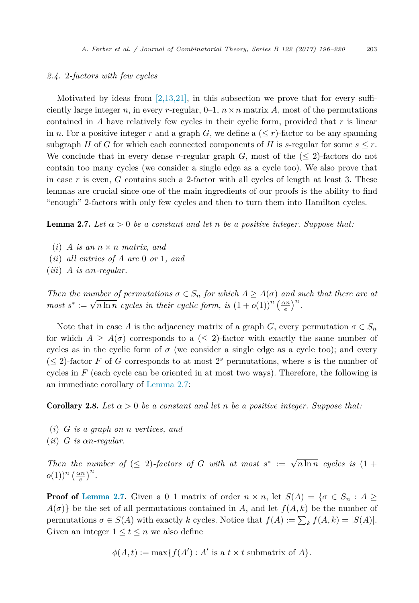## <span id="page-7-0"></span>*2.4.* 2*-factors with few cycles*

Motivated by ideas from [\[2,13,21\],](#page-23-0) in this subsection we prove that for every sufficiently large integer *n*, in every *r*-regular,  $0-1$ ,  $n \times n$  matrix *A*, most of the permutations contained in *A* have relatively few cycles in their cyclic form, provided that *r* is linear in *n*. For a positive integer *r* and a graph *G*, we define a  $(*r*)$ -factor to be any spanning subgraph *H* of *G* for which each connected components of *H* is *s*-regular for some  $s \leq r$ . We conclude that in every dense *r*-regular graph  $G$ , most of the  $(\leq 2)$ -factors do not contain too many cycles (we consider a single edge as a cycle too). We also prove that in case *r* is even, *G* contains such a 2-factor with all cycles of length at least 3. These lemmas are crucial since one of the main ingredients of our proofs is the ability to find "enough" 2-factors with only few cycles and then to turn them into Hamilton cycles.

**Lemma 2.7.** Let  $\alpha > 0$  be a constant and let n be a positive integer. Suppose that:

- $(i)$  *A is* an  $n \times n$  *matrix,* and
- (*ii*) *all entries of A are* 0 *or* 1*, and*
- (*iii*) *A is αn-regular.*

*Then the number* of *permutations*  $\sigma \in S_n$  *for which*  $A \geq A(\sigma)$  *and such that there are at most*  $s^* := \sqrt{n \ln n}$  *cycles in their cyclic form, is*  $(1 + o(1))^n \left(\frac{\alpha n}{e}\right)^n$ .

Note that in case *A* is the adjacency matrix of a graph *G*, every permutation  $\sigma \in S_n$ for which  $A \geq A(\sigma)$  corresponds to a ( $\leq 2$ )-factor with exactly the same number of cycles as in the cyclic form of  $\sigma$  (we consider a single edge as a cycle too); and every  $(\leq 2)$ -factor *F* of *G* corresponds to at most 2<sup>*s*</sup> permutations, where *s* is the number of cycles in *F* (each cycle can be oriented in at most two ways). Therefore, the following is an immediate corollary of Lemma 2.7:

**Corollary 2.8.** Let  $\alpha > 0$  be a constant and let n be a positive integer. Suppose that:

- (*i*) *G is a graph on n vertices, and*
- (*ii*) *G is αn-regular.*

*Then the number of* ( $\leq$  2)*-factors of G with at most*  $s^* := \sqrt{n \ln n}$  *cycles is* (1 +  $o(1))^n \left(\frac{\alpha n}{e}\right)^n$ .

**Proof of Lemma 2.7.** Given a 0–1 matrix of order  $n \times n$ , let  $S(A) = \{ \sigma \in S_n : A \geq 0 \}$  $A(\sigma)$ } be the set of all permutations contained in *A*, and let  $f(A, k)$  be the number of permutations  $\sigma \in S(A)$  with exactly *k* cycles. Notice that  $f(A) := \sum_{k} f(A, k) = |S(A)|$ . Given an integer  $1 \le t \le n$  we also define

$$
\phi(A, t) := \max\{f(A'): A' \text{ is a } t \times t \text{ submatrix of } A\}.
$$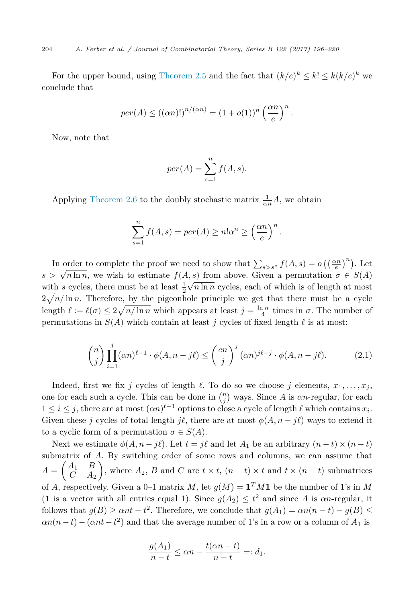<span id="page-8-0"></span>For the upper bound, using [Theorem 2.5](#page-6-0) and the fact that  $(k/e)^k \leq k! \leq k(k/e)^k$  we conclude that

$$
per(A) \le ((\alpha n)!)^{n/(\alpha n)} = (1 + o(1))^n \left(\frac{\alpha n}{e}\right)^n.
$$

Now, note that

$$
per(A) = \sum_{s=1}^{n} f(A, s).
$$

Applying [Theorem 2.6](#page-6-0) to the doubly stochastic matrix  $\frac{1}{\alpha n}A$ , we obtain

$$
\sum_{s=1}^{n} f(A, s) = per(A) \ge n! \alpha^{n} \ge \left(\frac{\alpha n}{e}\right)^{n}.
$$

In order to complete the proof we need to show that  $\sum_{s>s^*} f(A,s) = o\left(\left(\frac{\alpha n}{e}\right)^n\right)$ . Let  $s > \sqrt{n \ln n}$ , we wish to estimate  $f(A, s)$  from above. Given a permutation  $\sigma \in S(A)$ with *s* cycles, there must be at least  $\frac{1}{2}\sqrt{n \ln n}$  cycles, each of which is of length at most  $2\sqrt{n/\ln n}$ . Therefore, by the pigeonhole principle we get that there must be a cycle length  $\ell := \ell(\sigma) \leq 2\sqrt{n/\ln n}$  which appears at least  $j = \frac{\ln n}{4}$  times in  $\sigma$ . The number of permutations in  $S(A)$  which contain at least *j* cycles of fixed length  $\ell$  is at most:

$$
\binom{n}{j} \prod_{i=1}^{j} (\alpha n)^{\ell-1} \cdot \phi(A, n - j\ell) \le \left(\frac{en}{j}\right)^{j} (\alpha n)^{j\ell - j} \cdot \phi(A, n - j\ell). \tag{2.1}
$$

Indeed, first we fix *j* cycles of length  $\ell$ . To do so we choose *j* elements,  $x_1, \ldots, x_j$ , one for each such a cycle. This can be done in  $\binom{n}{j}$  ways. Since *A* is *αn*-regular, for each  $1 \leq i \leq j$ , there are at most  $(\alpha n)^{\ell-1}$  options to close a cycle of length  $\ell$  which contains  $x_i$ . Given these *j* cycles of total length  $j\ell$ , there are at most  $\phi(A, n - j\ell)$  ways to extend it to a cyclic form of a permutation  $\sigma \in S(A)$ .

Next we estimate  $\phi(A, n - j\ell)$ . Let  $t = j\ell$  and let  $A_1$  be an arbitrary  $(n - t) \times (n - t)$ submatrix of *A*. By switching order of some rows and columns, we can assume that  $A = \begin{pmatrix} A_1 & B \\ C & A_2 \end{pmatrix}$ *C A*<sup>2</sup> ), where  $A_2$ ,  $B$  and  $C$  are  $t \times t$ ,  $(n - t) \times t$  and  $t \times (n - t)$  submatrices of *A*, respectively. Given a 0–1 matrix *M*, let  $g(M) = \mathbf{1}^T M \mathbf{1}$  be the number of 1's in *M* (**1** is a vector with all entries equal 1). Since  $g(A_2) \le t^2$  and since *A* is *αn*-regular, it follows that  $g(B) \geq \alpha nt - t^2$ . Therefore, we conclude that  $g(A_1) = \alpha n(n-t) - g(B) \leq$  $\alpha n(n-t) - (\alpha nt - t^2)$  and that the average number of 1's in a row or a column of  $A_1$  is

$$
\frac{g(A_1)}{n-t} \le \alpha n - \frac{t(\alpha n - t)}{n-t} =: d_1.
$$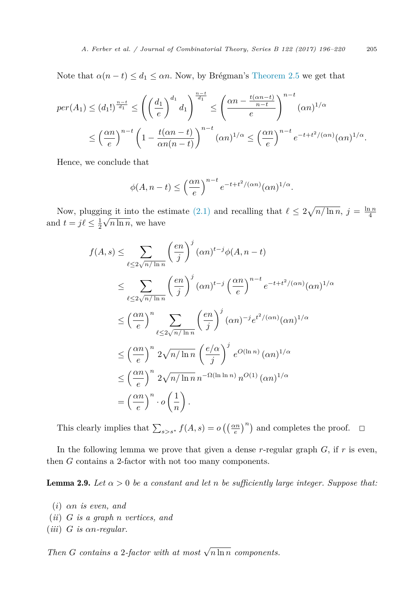<span id="page-9-0"></span>Note that  $\alpha(n-t) \leq d_1 \leq \alpha n$ . Now, by Brégman's [Theorem 2.5](#page-6-0) we get that

$$
per(A_1) \leq (d_1!)^{\frac{n-t}{d_1}} \leq \left( \left( \frac{d_1}{e} \right)^{d_1} d_1 \right)^{\frac{n-t}{d_1}} \leq \left( \frac{\alpha n - \frac{t(\alpha n - t)}{n - t}}{e} \right)^{n-t} (\alpha n)^{1/\alpha}
$$

$$
\leq \left( \frac{\alpha n}{e} \right)^{n-t} \left( 1 - \frac{t(\alpha n - t)}{\alpha n(n - t)} \right)^{n-t} (\alpha n)^{1/\alpha} \leq \left( \frac{\alpha n}{e} \right)^{n-t} e^{-t + t^2/(\alpha n)} (\alpha n)^{1/\alpha}.
$$

Hence, we conclude that

$$
\phi(A, n-t) \le \left(\frac{\alpha n}{e}\right)^{n-t} e^{-t+t^2/(\alpha n)} (\alpha n)^{1/\alpha}.
$$

Now, plugging it into the estimate [\(2.1\)](#page-8-0) and recalling that  $\ell \leq 2\sqrt{n/\ln n}$ ,  $j = \frac{\ln n}{4}$ and  $t = j\ell \leq \frac{1}{2}$  $\sqrt{n \ln n}$ , we have

$$
f(A,s) \leq \sum_{\ell \leq 2\sqrt{n/\ln n}} \left(\frac{en}{j}\right)^j (\alpha n)^{t-j} \phi(A,n-t)
$$
  
\n
$$
\leq \sum_{\ell \leq 2\sqrt{n/\ln n}} \left(\frac{en}{j}\right)^j (\alpha n)^{t-j} \left(\frac{\alpha n}{e}\right)^{n-t} e^{-t+t^2/(\alpha n)} (\alpha n)^{1/\alpha}
$$
  
\n
$$
\leq \left(\frac{\alpha n}{e}\right)^n \sum_{\ell \leq 2\sqrt{n/\ln n}} \left(\frac{en}{j}\right)^j (\alpha n)^{-j} e^{t^2/(\alpha n)} (\alpha n)^{1/\alpha}
$$
  
\n
$$
\leq \left(\frac{\alpha n}{e}\right)^n 2\sqrt{n/\ln n} \left(\frac{e/\alpha}{j}\right)^j e^{O(\ln n)} (\alpha n)^{1/\alpha}
$$
  
\n
$$
\leq \left(\frac{\alpha n}{e}\right)^n 2\sqrt{n/\ln n} n^{-\Omega(\ln \ln n)} n^{O(1)} (\alpha n)^{1/\alpha}
$$
  
\n
$$
= \left(\frac{\alpha n}{e}\right)^n \cdot o\left(\frac{1}{n}\right).
$$

This clearly implies that  $\sum_{s>s^*} f(A, s) = o\left(\left(\frac{\alpha n}{e}\right)^n\right)$  and completes the proof.  $\Box$ 

In the following lemma we prove that given a dense  $r$ -regular graph  $G$ , if  $r$  is even, then *G* contains a 2-factor with not too many components.

**Lemma 2.9.** Let  $\alpha > 0$  be a constant and let n be sufficiently large integer. Suppose that:

- (*i*) *αn is even, and*
- (*ii*) *G is a graph n vertices, and*
- (*iii*) *G is αn-regular.*

*Then G contains a* 2*-factor with at most*  $\sqrt{n \ln n}$  *components.*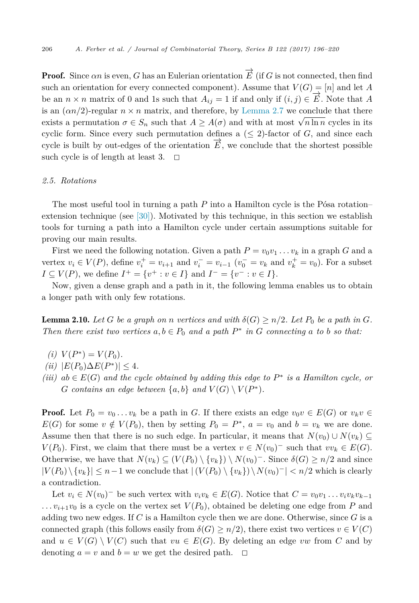<span id="page-10-0"></span>**Proof.** Since  $\alpha n$  is even,  $G$  has an Eulerian orientation  $\overrightarrow{E}$  (if  $G$  is not connected, then find such an orientation for every connected component). Assume that  $V(G) = [n]$  and let *A* be an  $n \times n$  matrix of 0 and 1s such that  $A_{ij} = 1$  if and only if  $(i, j) \in \mathbb{Z}$ . Note that *A* is an  $(\alpha n/2)$ -regular  $n \times n$  matrix, and therefore, by [Lemma 2.7](#page-7-0) we conclude that there exists a permutation  $\sigma \in S_n$  such that  $A \geq A(\sigma)$  and with at most  $\sqrt{n \ln n}$  cycles in its cyclic form. Since every such permutation defines a  $(\leq 2)$ -factor of *G*, and since each cycle is built by out-edges of the orientation  $\overrightarrow{E}$ , we conclude that the shortest possible such cycle is of length at least 3.  $\Box$ 

#### *2.5. Rotations*

The most useful tool in turning a path *P* into a Hamilton cycle is the Pósa rotation– extension technique (see  $[30]$ ). Motivated by this technique, in this section we establish tools for turning a path into a Hamilton cycle under certain assumptions suitable for proving our main results.

First we need the following notation. Given a path  $P = v_0v_1 \ldots v_k$  in a graph G and a vertex  $v_i \in V(P)$ , define  $v_i^+ = v_{i+1}$  and  $v_i^- = v_{i-1}$  ( $v_0^- = v_k$  and  $v_k^+ = v_0$ ). For a subset *I* ⊆ *V*(*P*), we define  $I^+ = \{v^+ : v \in I\}$  and  $I^- = \{v^- : v \in I\}$ .

Now, given a dense graph and a path in it, the following lemma enables us to obtain a longer path with only few rotations.

**Lemma 2.10.** Let G be a graph on n vertices and with  $\delta(G) \ge n/2$ . Let  $P_0$  be a path in G. Then there exist two vertices  $a, b \in P_0$  and a path  $P^*$  in G connecting a to b so that:

- $(i)$   $V(P^*) = V(P_0)$ .
- $(iii)$   $|E(P_0)\Delta E(P^*)| < 4$ .
- $(iii)$   $ab \in E(G)$  *and the cycle obtained by adding this edge to*  $P^*$  *<i>is a Hamilton cycle, or G* contains an edge between  $\{a, b\}$  and  $V(G) \setminus V(P^*)$ .

**Proof.** Let  $P_0 = v_0 \ldots v_k$  be a path in *G*. If there exists an edge  $v_0v \in E(G)$  or  $v_kv \in E(G)$ *E*(*G*) for some  $v \notin V(P_0)$ , then by setting  $P_0 = P^*$ ,  $a = v_0$  and  $b = v_k$  we are done. Assume then that there is no such edge. In particular, it means that  $N(v_0) \cup N(v_k) \subseteq$ *V*(*P*<sub>0</sub>). First, we claim that there must be a vertex  $v \in N(v_0)$ <sup>−</sup> such that  $vv_k \in E(G)$ . Otherwise, we have that  $N(v_k) \subseteq (V(P_0) \setminus \{v_k\}) \setminus N(v_0)^-$ . Since  $\delta(G) \geq n/2$  and since  $|V(P_0) \setminus \{v_k\}|$  ≤ *n*−1 we conclude that  $|V(P_0) \setminus \{v_k\}\rangle \setminus N(v_0)$ <sup>-</sup> $|$  < *n*/2 which is clearly a contradiction.

Let  $v_i \in N(v_0)^-$  be such vertex with  $v_i v_k \in E(G)$ . Notice that  $C = v_0 v_1 \dots v_i v_k v_{k-1}$  $\ldots$   $v_{i+1}v_0$  is a cycle on the vertex set  $V(P_0)$ , obtained be deleting one edge from *P* and adding two new edges. If *C* is a Hamilton cycle then we are done. Otherwise, since *G* is a connected graph (this follows easily from  $\delta(G) \geq n/2$ ), there exist two vertices  $v \in V(C)$ and  $u \in V(G) \setminus V(C)$  such that  $vu \in E(G)$ . By deleting an edge *vw* from *C* and by denoting  $a = v$  and  $b = w$  we get the desired path.  $\Box$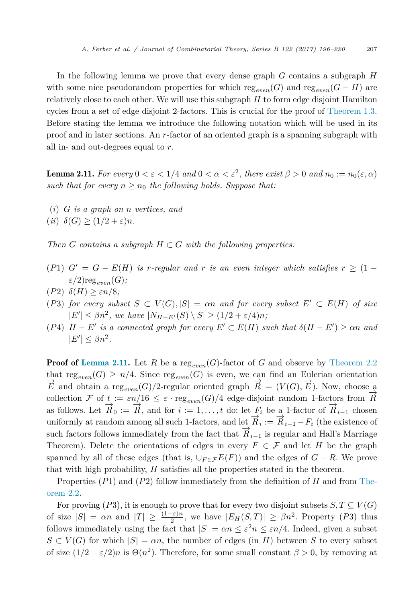<span id="page-11-0"></span>In the following lemma we prove that every dense graph *G* contains a subgraph *H* with some nice pseudorandom properties for which  $reg_{even}(G)$  and  $reg_{even}(G - H)$  are relatively close to each other. We will use this subgraph *H* to form edge disjoint Hamilton cycles from a set of edge disjoint 2-factors. This is crucial for the proof of [Theorem 1.3.](#page-2-0) Before stating the lemma we introduce the following notation which will be used in its proof and in later sections. An *r*-factor of an oriented graph is a spanning subgraph with all in- and out-degrees equal to *r*.

**Lemma 2.11.** *For every*  $0 < \varepsilon < 1/4$  *and*  $0 < \alpha < \varepsilon^2$ , *there exist*  $\beta > 0$  *and*  $n_0 := n_0(\varepsilon, \alpha)$ *such that for every*  $n > n_0$  *the following holds. Suppose that:* 

(*i*) *G is a graph on n vertices, and*

 $(iii)$   $\delta(G) \geq (1/2 + \varepsilon)n$ .

*Then G contains a subgraph*  $H \subset G$  *with the following* properties:

- $(P1)$   $G' = G E(H)$  *is*  $r$ -regular and  $r$  *is* an even *integer* which satisfies  $r \geq (1 \frac{1}{r})$  $\varepsilon/2$ )reg<sub>even</sub> $(G)$ ;
- (*P*2) *δ*(*H*) ≥ *εn/*8*;*
- $(P3)$  *for every subset*  $S \subset V(G), |S| = \alpha n$  *and for every subset*  $E' \subset E(H)$  *of size*  $|E'| \leq \beta n^2$ , we have  $|N_{H-E'}(S) \setminus S| \geq (1/2 + \varepsilon/4)n$ ;
- $(P4)$   $H E'$  *is a* connected graph for every  $E' \subset E(H)$  such that  $\delta(H E') \geq \alpha n$  and  $|E'| \leq \beta n^2$ .

**Proof of Lemma 2.11.** Let *R* be a reg<sub>even</sub>(*G*)-factor of *G* and observe by [Theorem 2.2](#page-5-0) that reg<sub>even</sub> $(G) \geq n/4$ . Since reg<sub>even</sub> $(G)$  is even, we can find an Eulerian orientation  $\overrightarrow{E}$  and obtain a reg<sub>even</sub> $(G)/2$ -regular oriented graph  $\overrightarrow{R} = (V(G), \overrightarrow{E})$ . Now, choose a collection F of  $t := \varepsilon n/16 \leq \varepsilon \cdot \text{reg}_{even}(G)/4$  edge-disjoint random 1-factors from  $\vec{R}$ as follows. Let  $\vec{R}_0 := \vec{R}$ , and for  $i := 1, \ldots, t$  do: let  $F_i$  be a 1-factor of  $\vec{R}_{i-1}$  chosen uniformly at random among all such 1-factors, and let  $\overrightarrow{R}_i := \overrightarrow{R}_{i-1} - F_i$  (the existence of such factors follows immediately from the fact that  $\vec{R}_{i-1}$  is regular and Hall's Marriage Theorem). Delete the orientations of edges in every  $F \in \mathcal{F}$  and let *H* be the graph spanned by all of these edges (that is,  $\bigcup_{F \in \mathcal{F}} E(F)$ ) and the edges of  $G - R$ . We prove that with high probability, *H* satisfies all the properties stated in the theorem.

Properties (*P*1) and (*P*2) follow immediately from the definition of *H* and from [The](#page-5-0)[orem 2.2.](#page-5-0)

For proving (*P*3), it is enough to prove that for every two disjoint subsets  $S, T \subseteq V(G)$ of size  $|S| = \alpha n$  and  $|T| \geq \frac{(1-\varepsilon)n}{2}$ , we have  $|E_H(S,T)| \geq \beta n^2$ . Property (P3) thus follows immediately using the fact that  $|S| = \alpha n \leq \varepsilon^2 n \leq \varepsilon n/4$ . Indeed, given a subset  $S \subset V(G)$  for which  $|S| = \alpha n$ , the number of edges (in *H*) between *S* to every subset of size  $(1/2 - \varepsilon/2)n$  is  $\Theta(n^2)$ . Therefore, for some small constant  $\beta > 0$ , by removing at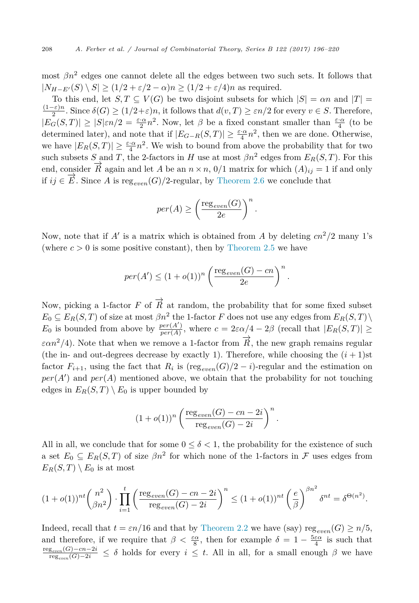most  $\beta n^2$  edges one cannot delete all the edges between two such sets. It follows that  $|N_{H-E'}(S) \setminus S| \ge (1/2 + \varepsilon/2 - \alpha)n \ge (1/2 + \varepsilon/4)n$  as required.

To this end, let  $S, T \subseteq V(G)$  be two disjoint subsets for which  $|S| = \alpha n$  and  $|T| = \frac{(1-\varepsilon)n}{2}$ . Since  $\delta(G) \ge (1/2+\varepsilon)n$ , it follows that  $d(v,T) \ge \varepsilon n/2$  for every  $v \in S$ . Therefore,  $|E_G(S,T)| \geq |S|\varepsilon n/2 = \frac{\varepsilon \cdot \alpha}{2} n^2$ . Now, let  $\beta$  be a fixed constant smaller than  $\frac{\varepsilon \cdot \alpha}{4}$  (to be determined later), and note that if  $|E_{G-R}(S,T)| \geq \frac{\varepsilon \cdot \alpha}{4} n^2$ , then we are done. Otherwise, we have  $|E_R(S,T)| \geq \frac{\varepsilon \cdot \alpha}{4} n^2$ . We wish to bound from above the probability that for two such subsets *S* and *T*, the 2-factors in *H* use at most  $\beta n^2$  edges from  $E_R(S,T)$ . For this end, consider  $\vec{R}$  again and let *A* be an  $n \times n$ , 0/1 matrix for which  $(A)_{ij} = 1$  if and only *if*  $ij \in \overrightarrow{E}$ . Since *A* is reg<sub>even</sub> *G*)/2-regular, by [Theorem 2.6](#page-6-0) we conclude that

$$
per(A) \ge \left(\frac{\text{reg}_{even}(G)}{2e}\right)^n.
$$

Now, note that if  $A'$  is a matrix which is obtained from  $A$  by deleting  $cn^2/2$  many 1's (where  $c > 0$  is some positive constant), then by [Theorem 2.5](#page-6-0) we have

$$
per(A') \le (1 + o(1))^n \left(\frac{\text{reg}_{even}(G) - cn}{2e}\right)^n.
$$

Now, picking a 1-factor *F* of  $\vec{R}$  at random, the probability that for some fixed subset  $E_0 \subseteq E_R(S,T)$  of size at most  $\beta n^2$  the 1-factor *F* does not use any edges from  $E_R(S,T)$ *E*<sub>0</sub> is bounded from above by  $\frac{per(A')}{per(A)}$ , where  $c = 2\varepsilon \alpha/4 - 2\beta$  (recall that  $|E_R(S,T)| \ge$  $\varepsilon \alpha n^2/4$ ). Note that when we remove a 1-factor from  $\vec{R}$ , the new graph remains regular (the in- and out-degrees decrease by exactly 1). Therefore, while choosing the  $(i + 1)$ st factor  $F_{i+1}$ , using the fact that  $R_i$  is (reg<sub>even</sub> $(G)/2 - i$ )-regular and the estimation on  $per(A')$  and  $per(A)$  mentioned above, we obtain that the probability for not touching edges in  $E_R(S,T) \setminus E_0$  is upper bounded by

$$
(1+o(1))^n \left( \frac{\text{reg}_{even}(G) - cn - 2i}{\text{reg}_{even}(G) - 2i} \right)^n.
$$

All in all, we conclude that for some  $0 \leq \delta < 1$ , the probability for the existence of such a set  $E_0 \subseteq E_R(S,T)$  of size  $\beta n^2$  for which none of the 1-factors in F uses edges from  $E_R(S,T) \setminus E_0$  is at most

$$
(1+o(1))^{nt} \binom{n^2}{\beta n^2} \cdot \prod_{i=1}^t \left( \frac{\text{reg}_{even}(G)-cn-2i}{\text{reg}_{even}(G)-2i} \right)^n \le (1+o(1))^{nt} \left( \frac{e}{\beta} \right)^{\beta n^2} \delta^{nt} = \delta^{\Theta(n^2)}.
$$

Indeed, recall that  $t = \varepsilon n/16$  and that by [Theorem 2.2](#page-5-0) we have (say) reg<sub>even</sub>(*G*)  $\geq n/5$ , and therefore, if we require that  $\beta < \frac{\varepsilon \alpha}{8}$ , then for example  $\delta = 1 - \frac{5\varepsilon \alpha}{4}$  is such that reg*even*(*G*)−*cn*−2*i* reg*even*(*G*)−2*<sup>i</sup>* <sup>≤</sup> *<sup>δ</sup>* holds for every *<sup>i</sup>* <sup>≤</sup> *<sup>t</sup>*. All in all, for <sup>a</sup> small enough *<sup>β</sup>* we have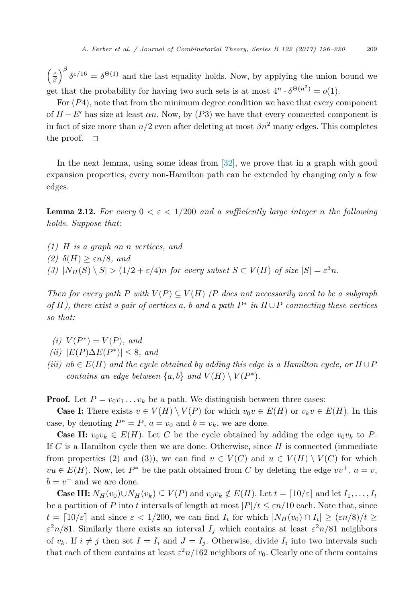<span id="page-13-0"></span> $\left(\frac{e}{\beta}\right)^{\beta} \delta^{\epsilon/16} = \delta^{\Theta(1)}$  and the last equality holds. Now, by applying the union bound we get that the probability for having two such sets is at most  $4^n \cdot \delta^{\Theta(n^2)} = o(1)$ .

For (*P*4), note that from the minimum degree condition we have that every component of  $H - E'$  has size at least  $\alpha n$ . Now, by (P3) we have that every connected component is in fact of size more than  $n/2$  even after deleting at most  $\beta n^2$  many edges. This completes the proof.  $\square$ 

In the next lemma, using some ideas from [\[32\],](#page-24-0) we prove that in a graph with good expansion properties, every non-Hamilton path can be extended by changing only a few edges.

**Lemma 2.12.** For every  $0 < \varepsilon < 1/200$  and a sufficiently large integer *n* the following *holds. Suppose that:*

- *(1) H is a graph on n vertices, and*
- *(2)*  $δ(H) ≥ εn/8$ *, and*
- (3)  $|N_H(S) \setminus S| > (1/2 + \varepsilon/4)n$  *for every subset*  $S \subset V(H)$  *of size*  $|S| = \varepsilon^3 n$ *.*

Then for every path P with  $V(P) \subseteq V(H)$  (P does not necessarily need to be a subgraph of H), there exist a pair of vertices a, b and a path  $P^*$  in  $H \cup P$  connecting these vertices *so that:*

- $(i)$   $V(P^*) = V(P)$ *, and*
- $(iii)$   $|E(P)\Delta E(P^*)| \leq 8$ *, and*
- $(iii)$   $ab \in E(H)$  *and the cycle obtained by adding this edge is a Hamilton cycle, or*  $H \cup P$ *contains an edge between*  $\{a, b\}$  *and*  $V(H) \setminus V(P^*)$ *.*

**Proof.** Let  $P = v_0 v_1 \ldots v_k$  be a path. We distinguish between three cases:

**Case I:** There exists  $v \in V(H) \setminus V(P)$  for which  $v_0v \in E(H)$  or  $v_kv \in E(H)$ . In this case, by denoting  $P^* = P$ ,  $a = v_0$  and  $b = v_k$ , we are done.

**Case II:**  $v_0v_k \in E(H)$ . Let C be the cycle obtained by adding the edge  $v_0v_k$  to P. If *C* is a Hamilton cycle then we are done. Otherwise, since *H* is connected (immediate from properties (2) and (3)), we can find  $v \in V(C)$  and  $u \in V(H) \setminus V(C)$  for which  $vu \in E(H)$ . Now, let  $P^*$  be the path obtained from *C* by deleting the edge  $vv^+$ ,  $a = v$ ,  $b = v^+$  and we are done.

**Case III:**  $N_H(v_0) \cup N_H(v_k) \subseteq V(P)$  and  $v_0v_k \notin E(H)$ . Let  $t = \lceil 10/\varepsilon \rceil$  and let  $I_1, \ldots, I_t$ be a partition of *P* into *t* intervals of length at most  $|P|/t \leq \varepsilon n/10$  each. Note that, since  $t = \left[10/\varepsilon\right]$  and since  $\varepsilon < 1/200$ , we can find  $I_i$  for which  $|N_H(v_0) \cap I_i| \geq (\varepsilon n/8)/t \geq$  $\varepsilon^2 n/81$ . Similarly there exists an interval  $I_i$  which contains at least  $\varepsilon^2 n/81$  neighbors of  $v_k$ . If  $i \neq j$  then set  $I = I_i$  and  $J = I_j$ . Otherwise, divide  $I_i$  into two intervals such that each of them contains at least  $\varepsilon^2 n/162$  neighbors of  $v_0$ . Clearly one of them contains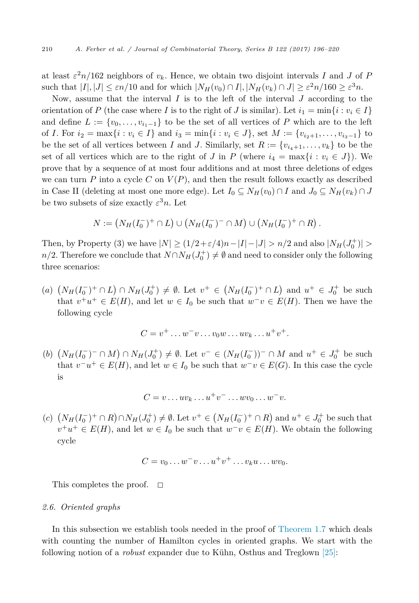at least  $\varepsilon^2 n/162$  neighbors of  $v_k$ . Hence, we obtain two disjoint intervals *I* and *J* of *P* such that  $|I|, |J| \leq \varepsilon n/10$  and for which  $|N_H(v_0) \cap I|, |N_H(v_k) \cap J| \geq \varepsilon^2 n/160 \geq \varepsilon^3 n$ .

Now, assume that the interval *I* is to the left of the interval *J* according to the orientation of *P* (the case where *I* is to the right of *J* is similar). Let  $i_1 = \min\{i : v_i \in I\}$ and define  $L := \{v_0, \ldots, v_{i-1}\}\$  to be the set of all vertices of P which are to the left of *I*. For  $i_2 = \max\{i : v_i \in I\}$  and  $i_3 = \min\{i : v_i \in J\}$ , set  $M := \{v_{i_2+1}, \ldots, v_{i_3-1}\}$  to be the set of all vertices between *I* and *J*. Similarly, set  $R := \{v_{i_4+1}, \ldots, v_k\}$  to be the set of all vertices which are to the right of *J* in *P* (where  $i_4 = \max\{i : v_i \in J\}$ ). We prove that by a sequence of at most four additions and at most three deletions of edges we can turn  $P$  into a cycle  $C$  on  $V(P)$ , and then the result follows exactly as described in Case II (deleting at most one more edge). Let  $I_0 \subseteq N_H(v_0) \cap I$  and  $J_0 \subseteq N_H(v_k) \cap J$ be two subsets of size exactly  $\varepsilon^3 n$ . Let

$$
N := (N_H(I_0^-)^+ \cap L) \cup (N_H(I_0^-)^- \cap M) \cup (N_H(I_0^-)^+ \cap R).
$$

Then, by Property (3) we have  $|N| \ge (1/2 + \varepsilon/4)n - |I| - |J| > n/2$  and also  $|N_H(J_0^+)| >$ *n/*2. Therefore we conclude that  $N \cap N_H(J_0^+) \neq \emptyset$  and need to consider only the following three scenarios:

 $(a)$   $(N_H(I_0^-)^+ \cap L) \cap N_H(J_0^+) \neq \emptyset$ . Let  $v^+ \in (N_H(I_0^-)^+ \cap L)$  and  $u^+ \in J_0^+$  be such that  $v^+u^+ \in E(H)$ , and let  $w \in I_0$  be such that  $w^-v \in E(H)$ . Then we have the following cycle

$$
C = v^+ \dots w^- v \dots v_0 w \dots u v_k \dots u^+ v^+.
$$

(*b*)  $(N_H(I_0^-)^- \cap M) \cap N_H(J_0^+) \neq \emptyset$ . Let  $v^- \in (N_H(I_0^-))^-\cap M$  and  $u^+ \in J_0^+$  be such that  $v^-u^+ \in E(H)$ , and let  $w \in I_0$  be such that  $w^-v \in E(G)$ . In this case the cycle is

$$
C = v \dots uv_k \dots u^+ v^- \dots w v_0 \dots w^- v.
$$

 $P(A)$   $(N_H(I_0^-)^+ ∩ R) ∩ N_H(J_0^+) \neq \emptyset$ . Let  $v^+ ∈ (N_H(I_0^-)^+ ∩ R)$  and  $u^+ ∈ J_0^+$  be such that  $v^+u^+ \in E(H)$ , and let  $w \in I_0$  be such that  $w^-v \in E(H)$ . We obtain the following cycle

$$
C = v_0 \dots w^- v \dots u^+ v^+ \dots v_k u \dots w v_0.
$$

This completes the proof.  $\square$ 

#### *2.6. Oriented graphs*

In this subsection we establish tools needed in the proof of [Theorem 1.7](#page-4-0) which deals with counting the number of Hamilton cycles in oriented graphs. We start with the following notion of a *robust* expander due to Kühn, Osthus and Treglown [\[25\]:](#page-24-0)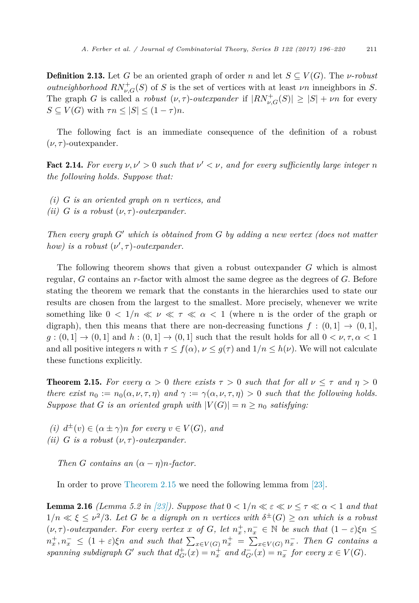<span id="page-15-0"></span>**Definition 2.13.** Let *G* be an oriented graph of order *n* and let  $S \subseteq V(G)$ . The *v*-*robust outneighborhood*  $RN_{\nu,G}^+(S)$  of *S* is the set of vertices with at least  $\nu n$  inneighbors in *S*. The graph *G* is called a *robust*  $(\nu, \tau)$ -*outexpander* if  $|RN_{\nu,G}^+(S)| \geq |S| + \nu n$  for every  $S \subseteq V(G)$  with  $\tau n \leq |S| \leq (1 - \tau)n$ .

The following fact is an immediate consequence of the definition of a robust  $(\nu, \tau)$ -outexpander.

**Fact 2.14.** For every  $\nu, \nu' > 0$  such that  $\nu' < \nu$ , and for every sufficiently large integer *n the following holds. Suppose that:*

- *(i) G is an oriented graph on n vertices, and*
- *(ii) G is a robust*  $(\nu, \tau)$ *-outexpander.*

*Then every graph G*- *which is obtained from G by adding a new vertex (does not matter how) is a robust*  $(\nu', \tau)$ *-outexpander.* 

The following theorem shows that given a robust outexpander *G* which is almost regular, *G* contains an *r*-factor with almost the same degree as the degrees of *G*. Before stating the theorem we remark that the constants in the hierarchies used to state our results are chosen from the largest to the smallest. More precisely, whenever we write something like  $0 < 1/n \ll \nu \ll \tau \ll \alpha < 1$  (where n is the order of the graph or digraph), then this means that there are non-decreasing functions  $f : (0,1] \rightarrow (0,1]$ ,  $g:(0,1] \rightarrow (0,1]$  and  $h:(0,1] \rightarrow (0,1]$  such that the result holds for all  $0 < \nu, \tau, \alpha < 1$ and all positive integers *n* with  $\tau \leq f(\alpha)$ ,  $\nu \leq g(\tau)$  and  $1/n \leq h(\nu)$ . We will not calculate these functions explicitly.

**Theorem 2.15.** *For every*  $\alpha > 0$  *there exists*  $\tau > 0$  *such that for all*  $\nu \leq \tau$  *and*  $\eta > 0$ there exist  $n_0 := n_0(\alpha, \nu, \tau, \eta)$  and  $\gamma := \gamma(\alpha, \nu, \tau, \eta) > 0$  such that the following holds. *Suppose that G is an oriented graph with*  $|V(G)| = n \ge n_0$  *satisfying:* 

*(i)*  $d^{\pm}(v) \in (\alpha \pm \gamma)n$  *for every*  $v \in V(G)$ *, and (ii) G is a robust*  $(\nu, \tau)$ *-outexpander.* 

*Then G contains an*  $(\alpha - \eta)n$ *-factor.* 

In order to prove Theorem 2.15 we need the following lemma from [\[23\].](#page-24-0)

**Lemma 2.16** *(Lemma 5.2 in [\[23\]\)](#page-24-0). Suppose that*  $0 < 1/n \ll \epsilon \ll \nu \leq \tau \ll \alpha < 1$  *and that*  $1/n \ll \xi \leq \nu^2/3$ . Let G be a digraph on n vertices with  $\delta^{\pm}(G) \geq \alpha n$  which is a robust  $(\nu, \tau)$ -outexpander. For every vertex x of G, let  $n_x^+, n_x^- \in \mathbb{N}$  be such that  $(1 - \varepsilon)\xi n \leq$  $n_x^+, n_x^- \leq (1+\varepsilon)\xi n$  and such that  $\sum_{x \in V(G)} n_x^+ = \sum_{x \in V(G)} n_x^-$ . Then G contains a spanning subdigraph G' such that  $d_{G'}^+(x) = n_x^+$  and  $d_{G'}^-(x) = n_x^-$  for every  $x \in V(G)$ .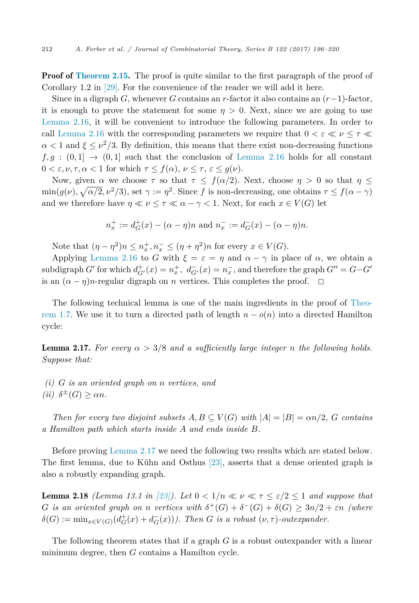<span id="page-16-0"></span>**Proof of [Theorem 2.15.](#page-15-0)** The proof is quite similar to the first paragraph of the proof of Corollary 1.2 in [\[29\].](#page-24-0) For the convenience of the reader we will add it here.

Since in a digraph *G*, whenever *G* contains an *r*-factor it also contains an  $(r-1)$ -factor, it is enough to prove the statement for some  $\eta > 0$ . Next, since we are going to use [Lemma 2.16,](#page-15-0) it will be convenient to introduce the following parameters. In order to call [Lemma 2.16](#page-15-0) with the corresponding parameters we require that  $0 < \varepsilon \ll \nu \leq \tau \ll$  $\alpha$  < 1 and  $\xi \leq \nu^2/3$ . By definition, this means that there exist non-decreasing functions  $f, g : (0,1] \rightarrow (0,1]$  such that the conclusion of [Lemma 2.16](#page-15-0) holds for all constant  $0 < \varepsilon, \nu, \tau, \alpha < 1$  for which  $\tau \leq f(\alpha), \nu \leq \tau, \varepsilon \leq g(\nu)$ .

Now, given  $\alpha$  we choose  $\tau$  so that  $\tau \leq f(\alpha/2)$ . Next, choose  $\eta > 0$  so that  $\eta \leq$  $\min(g(\nu), \sqrt{\alpha/2}, \nu^2/3)$ , set  $\gamma := \eta^2$ . Since *f* is non-decreasing, one obtains  $\tau \le f(\alpha - \gamma)$ and we therefore have  $\eta \ll \nu \leq \tau \ll \alpha - \gamma < 1$ . Next, for each  $x \in V(G)$  let

$$
n_x^+ := d_G^+(x) - (\alpha - \eta)n
$$
 and  $n_x^- := d_G^-(x) - (\alpha - \eta)n$ .

Note that  $(\eta - \eta^2)n \leq n_x^+, n_x^- \leq (\eta + \eta^2)n$  for every  $x \in V(G)$ .

Applying [Lemma 2.16](#page-15-0) to *G* with  $\xi = \varepsilon = \eta$  and  $\alpha - \gamma$  in place of  $\alpha$ , we obtain a subdigraph *G*<sup> $\prime$ </sup> for which  $d_{G'}^+(x) = n_x^+, d_{G'}^-(x) = n_x^-,$  and therefore the graph  $G'' = G - G'$ is an  $(\alpha - \eta)n$ -regular digraph on *n* vertices. This completes the proof.  $\Box$ 

The following technical lemma is one of the main ingredients in the proof of [Theo](#page-4-0)[rem 1.7.](#page-4-0) We use it to turn a directed path of length  $n - o(n)$  into a directed Hamilton cycle:

**Lemma 2.17.** For every  $\alpha > 3/8$  and a sufficiently large integer *n* the following holds. *Suppose that:*

*(i) G is an oriented graph on n vertices, and*  $(iii)$   $\delta^{\pm}(G) > \alpha n$ .

*Then for every two disjoint subsets*  $A, B \subseteq V(G)$  *with*  $|A| = |B| = \alpha n/2$ , *G contains a Hamilton path which starts inside A and ends inside B.*

Before proving Lemma 2.17 we need the following two results which are stated below. The first lemma, due to Kühn and Osthus [\[23\],](#page-24-0) asserts that a dense oriented graph is also a robustly expanding graph.

**Lemma 2.18** *(Lemma 13.1 in [\[23\]\)](#page-24-0).* Let  $0 < 1/n \ll \nu \ll \tau \leq \varepsilon/2 \leq 1$  and suppose that *G is* an oriented graph on *n* vertices with  $\delta^+(G) + \delta^-(G) + \delta(G) \geq 3n/2 + \varepsilon n$  (where  $\delta(G) := \min_{x \in V(G)} (d_G^+(x) + d_G^-(x)))$ . *Then G is a robust*  $(\nu, \tau)$ -*outexpander.* 

The following theorem states that if a graph *G* is a robust outexpander with a linear minimum degree, then *G* contains a Hamilton cycle.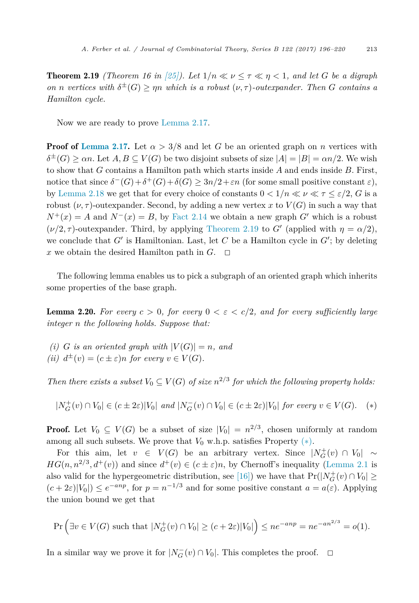<span id="page-17-0"></span>**Theorem 2.19** *(Theorem 16 in [\[25\]\)](#page-24-0). Let*  $1/n \ll \nu \leq \tau \ll \eta \leq 1$ *, and let G be a digraph on n vertices with*  $\delta^{\pm}(G) \ge \eta n$  *which is a robust* ( $\nu, \tau$ )*-outexpander.* Then *G contains a Hamilton cycle.*

Now we are ready to prove [Lemma 2.17.](#page-16-0)

**Proof of [Lemma 2.17.](#page-16-0)** Let  $\alpha > 3/8$  and let *G* be an oriented graph on *n* vertices with  $\delta^{\pm}(G) > \alpha n$ . Let  $A, B \subseteq V(G)$  be two disjoint subsets of size  $|A| = |B| = \alpha n/2$ . We wish to show that *G* contains a Hamilton path which starts inside *A* and ends inside *B*. First, notice that since  $\delta^-(G) + \delta^+(G) + \delta(G) \geq 3n/2 + \varepsilon n$  (for some small positive constant  $\varepsilon$ ), by [Lemma 2.18](#page-16-0) we get that for every choice of constants  $0 < 1/n \ll \nu \ll \tau \leq \varepsilon/2$ , *G* is a robust  $(\nu, \tau)$ -outexpander. Second, by adding a new vertex x to  $V(G)$  in such a way that  $N^+(x) = A$  and  $N^-(x) = B$ , by [Fact 2.14](#page-15-0) we obtain a new graph *G*<sup> $\prime$ </sup> which is a robust  $(\nu/2, \tau)$ -outexpander. Third, by applying Theorem 2.19 to *G*<sup> $\prime$ </sup> (applied with  $\eta = \alpha/2$ ), we conclude that  $G'$  is Hamiltonian. Last, let  $C$  be a Hamilton cycle in  $G'$ ; by deleting x we obtain the desired Hamilton path in  $G$ .  $\Box$ 

The following lemma enables us to pick a subgraph of an oriented graph which inherits some properties of the base graph.

**Lemma 2.20.** For every  $c > 0$ , for every  $0 < \varepsilon < c/2$ , and for every sufficiently large *integer n the following holds. Suppose that:*

*(i) G is* an oriented graph with  $|V(G)| = n$ , and *(ii)*  $d^{\pm}(v) = (c \pm \varepsilon)n$  *for every*  $v \in V(G)$ *.* 

*Then there exists a subset*  $V_0 \subseteq V(G)$  *of size*  $n^{2/3}$  *for which the following property holds:* 

 $|N_G^+(v) \cap V_0| \in (c \pm 2\varepsilon)|V_0|$  and  $|N_G^-(v) \cap V_0| \in (c \pm 2\varepsilon)|V_0|$  for every  $v \in V(G)$ . (\*)

**Proof.** Let  $V_0 \subseteq V(G)$  be a subset of size  $|V_0| = n^{2/3}$ , chosen uniformly at random among all such subsets. We prove that  $V_0$  w.h.p. satisfies Property  $(*)$ .

For this aim, let  $v \in V(G)$  be an arbitrary vertex. Since  $|N_G^+(v) \cap V_0| \sim$ *HG*( $n, n^{2/3}, d^+(v)$ ) and since  $d^+(v) \in (c \pm \varepsilon)n$ , by Chernoff's inequality [\(Lemma 2.1](#page-5-0) is also valid for the hypergeometric distribution, see [\[16\]\)](#page-23-0) we have that  $Pr(|N_G^+(v) \cap V_0| \ge$  $(c+2\varepsilon)|V_0|$   $\leq e^{-anp}$ , for  $p = n^{-1/3}$  and for some positive constant  $a = a(\varepsilon)$ . Applying the union bound we get that

$$
\Pr\left(\exists v \in V(G) \text{ such that } |N_G^+(v) \cap V_0| \ge (c+2\varepsilon)|V_0|\right) \le ne^{-anp} = ne^{-an^{2/3}} = o(1).
$$

In a similar way we prove it for  $|N_G^-(v) \cap V_0|$ . This completes the proof.  $\Box$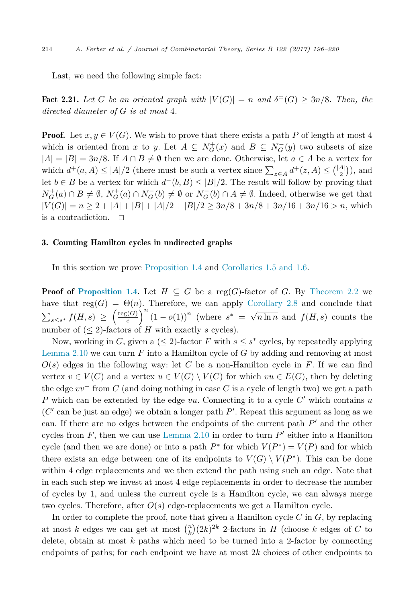<span id="page-18-0"></span>Last, we need the following simple fact:

Fact 2.21. Let *G* be an oriented graph with  $|V(G)| = n$  and  $\delta^{\pm}(G) \geq 3n/8$ . Then, the *directed diameter of G is at most* 4*.*

**Proof.** Let  $x, y \in V(G)$ . We wish to prove that there exists a path P of length at most 4 which is oriented from *x* to *y*. Let  $A \subseteq N_G^+(x)$  and  $B \subseteq N_G^-(y)$  two subsets of size  $|A| = |B| = 3n/8$ . If  $A \cap B \neq \emptyset$  then we are done. Otherwise, let  $a \in A$  be a vertex for which  $d^+(a, A) \leq |A|/2$  (there must be such a vertex since  $\sum_{z \in A} d^+(z, A) \leq {|A| \choose 2}$ ), and let *b* ∈ *B* be a vertex for which  $d^-(b, B) \leq |B|/2$ . The result will follow by proving that  $N_G^+(a) \cap B \neq \emptyset$ ,  $N_G^+(a) \cap N_G^-(b) \neq \emptyset$  or  $N_G^-(b) \cap A \neq \emptyset$ . Indeed, otherwise we get that  $|V(G)| = n \ge 2 + |A| + |B| + |A|/2 + |B|/2 \ge 3n/8 + 3n/8 + 3n/16 + 3n/16 > n$ , which is a contradiction.  $\square$ 

# 3. Counting Hamilton cycles in undirected graphs

In this section we prove [Proposition 1.4](#page-3-0) and [Corollaries 1.5 and](#page-3-0) 1.6.

**Proof of [Proposition 1.4.](#page-3-0)** Let  $H \subseteq G$  be a reg(*G*)-factor of *G*. By [Theorem 2.2](#page-5-0) we have that  $reg(G) = \Theta(n)$ . Therefore, we can apply [Corollary 2.8](#page-7-0) and conclude that  $\sum_{s\leq s^*} f(H,s) \geq \left(\frac{\text{reg}(G)}{e}\right)$  $\frac{f(G)}{e}$ <sup>n</sup> (1 − *o*(1))<sup>n</sup> (where *s*<sup>\*</sup> = √ $\sqrt{n \ln n}$  and *f*(*H, s*) counts the number of  $(< 2$ )-factors of *H* with exactly *s* cycles).

Now, working in *G*, given a ( $\leq$  2)-factor *F* with  $s \leq s^*$  cycles, by repeatedly applying [Lemma 2.10](#page-10-0) we can turn *F* into a Hamilton cycle of *G* by adding and removing at most  $O(s)$  edges in the following way: let *C* be a non-Hamilton cycle in *F*. If we can find vertex  $v \in V(C)$  and a vertex  $u \in V(G) \setminus V(C)$  for which  $vu \in E(G)$ , then by deleting the edge  $vv^+$  from C (and doing nothing in case C is a cycle of length two) we get a path *P* which can be extended by the edge *vu*. Connecting it to a cycle *C*- which contains *u* (*C*- can be just an edge) we obtain a longer path *P*- . Repeat this argument as long as we can. If there are no edges between the endpoints of the current path  $P'$  and the other cycles from  $F$ , then we can use [Lemma 2.10](#page-10-0) in order to turn  $P'$  either into a Hamilton cycle (and then we are done) or into a path  $P^*$  for which  $V(P^*) = V(P)$  and for which there exists an edge between one of its endpoints to  $V(G) \setminus V(P^*)$ . This can be done within 4 edge replacements and we then extend the path using such an edge. Note that in each such step we invest at most 4 edge replacements in order to decrease the number of cycles by 1, and unless the current cycle is a Hamilton cycle, we can always merge two cycles. Therefore, after *O*(*s*) edge-replacements we get a Hamilton cycle.

In order to complete the proof, note that given a Hamilton cycle *C* in *G*, by replacing at most *k* edges we can get at most  $\binom{n}{k} (2k)^{2k}$  2-factors in *H* (choose *k* edges of *C* to delete, obtain at most *k* paths which need to be turned into a 2-factor by connecting endpoints of paths; for each endpoint we have at most 2*k* choices of other endpoints to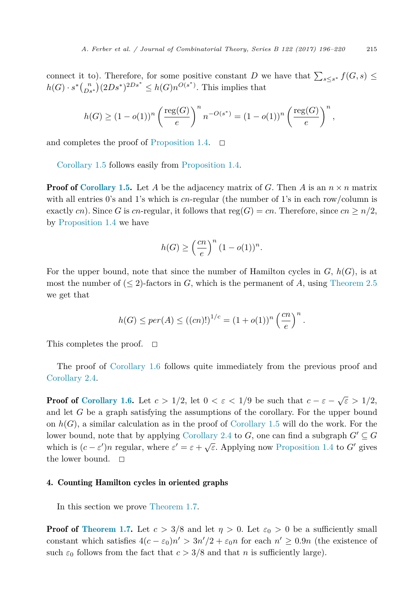connect it to). Therefore, for some positive constant *D* we have that  $\sum_{s\leq s^*} f(G, s) \leq$  $h(G) \cdot s^*(\binom{n}{Ds^*}(2Ds^*)^{2Ds^*} \leq h(G)n^{O(s^*)}$ . This implies that

$$
h(G) \ge (1 - o(1))^n \left(\frac{\text{reg}(G)}{e}\right)^n n^{-O(s^*)} = (1 - o(1))^n \left(\frac{\text{reg}(G)}{e}\right)^n,
$$

and completes the proof of [Proposition 1.4.](#page-3-0)  $\Box$ 

[Corollary 1.5](#page-3-0) follows easily from [Proposition 1.4.](#page-3-0)

**Proof of [Corollary 1.5.](#page-3-0)** Let A be the adjacency matrix of G. Then A is an  $n \times n$  matrix with all entries 0's and 1's which is *cn*-regular (the number of 1's in each row/column is exactly *cn*). Since *G* is *cn*-regular, it follows that reg(*G*) = *cn*. Therefore, since  $cn \ge n/2$ , by [Proposition 1.4](#page-3-0) we have

$$
h(G) \ge \left(\frac{cn}{e}\right)^n (1 - o(1))^n.
$$

For the upper bound, note that since the number of Hamilton cycles in *G*, *h*(*G*), is at most the number of  $(\leq 2)$ -factors in *G*, which is the permanent of *A*, using [Theorem 2.5](#page-6-0) we get that

$$
h(G) \leq per(A) \leq ((cn)!)^{1/c} = (1 + o(1))^n \left(\frac{cn}{e}\right)^n.
$$

This completes the proof.  $\Box$ 

The proof of [Corollary 1.6](#page-3-0) follows quite immediately from the previous proof and [Corollary 2.4.](#page-6-0)

**Proof of [Corollary 1.6.](#page-3-0)** Let  $c > 1/2$ , let  $0 < \varepsilon < 1/9$  be such that  $c - \varepsilon - \sqrt{\varepsilon} > 1/2$ , and let *G* be a graph satisfying the assumptions of the corollary. For the upper bound on  $h(G)$ , a similar calculation as in the proof of [Corollary 1.5](#page-3-0) will do the work. For the lower bound, note that by applying [Corollary 2.4](#page-6-0) to  $G$ , one can find a subgraph  $G' \subseteq G$ which is  $(c - \varepsilon')n$  regular, where  $\varepsilon' = \varepsilon + \sqrt{\varepsilon}$ . Applying now [Proposition 1.4](#page-3-0) to *G*<sup>-</sup> gives the lower bound.  $\square$ 

#### 4. Counting Hamilton cycles in oriented graphs

In this section we prove [Theorem 1.7.](#page-4-0)

**Proof of [Theorem 1.7.](#page-4-0)** Let  $c > 3/8$  and let  $\eta > 0$ . Let  $\varepsilon_0 > 0$  be a sufficiently small constant which satisfies  $4(c - \varepsilon_0)n' > 3n'/2 + \varepsilon_0 n$  for each  $n' \ge 0.9n$  (the existence of such  $\varepsilon_0$  follows from the fact that  $c > 3/8$  and that *n* is sufficiently large).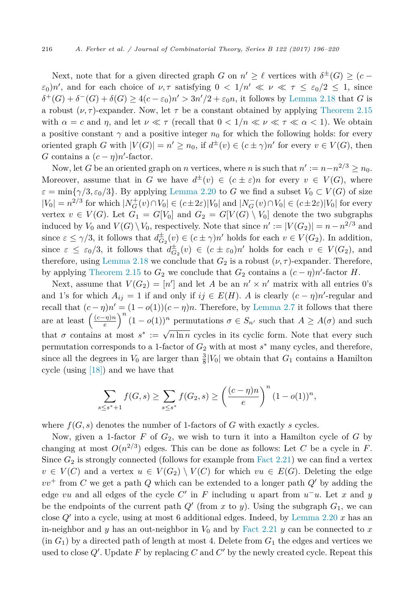Next, note that for a given directed graph *G* on  $n' \geq \ell$  vertices with  $\delta^{\pm}(G) \geq (c - \ell)$ *ε*<sub>0</sub>)*n*<sup> $\prime$ </sup>, and for each choice of  $\nu, \tau$  satisfying  $0 < 1/n' \ll \nu \ll \tau \leq \varepsilon_0/2 \leq 1$ , since  $\delta^+(G) + \delta^-(G) + \delta(G) \geq 4(c - \varepsilon_0)n' > 3n'/2 + \varepsilon_0 n$ , it follows by [Lemma 2.18](#page-16-0) that *G* is a robust  $(\nu, \tau)$ -expander. Now, let  $\tau$  be a constant obtained by applying [Theorem 2.15](#page-15-0) with  $\alpha = c$  and  $\eta$ , and let  $\nu \ll \tau$  (recall that  $0 < 1/n \ll \nu \ll \tau \ll \alpha < 1$ ). We obtain a positive constant  $\gamma$  and a positive integer  $n_0$  for which the following holds: for every oriented graph *G* with  $|V(G)| = n' \ge n_0$ , if  $d^{\pm}(v) \in (c \pm \gamma)n'$  for every  $v \in V(G)$ , then *G* contains a  $(c - \eta)n'$ -factor.

Now, let *G* be an oriented graph on *n* vertices, where *n* is such that  $n' := n - n^{2/3} \ge n_0$ . Moreover, assume that in *G* we have  $d^{\pm}(v) \in (c \pm \varepsilon)n$  for every  $v \in V(G)$ , where  $\varepsilon = \min\{\gamma/3, \varepsilon_0/3\}$ . By applying [Lemma 2.20](#page-17-0) to *G* we find a subset  $V_0 \subset V(G)$  of size  $|V_0| = n^{2/3}$  for which  $|N_G^+(v) \cap V_0| \in (c \pm 2\varepsilon)|V_0|$  and  $|N_G^-(v) \cap V_0| \in (c \pm 2\varepsilon)|V_0|$  for every vertex  $v \in V(G)$ . Let  $G_1 = G[V_0]$  and  $G_2 = G[V(G) \setminus V_0]$  denote the two subgraphs induced by  $V_0$  and  $V(G) \setminus V_0$ , respectively. Note that since  $n' := |V(G_2)| = n - n^{2/3}$  and since  $\varepsilon \leq \gamma/3$ , it follows that  $d_{G_2}^{\pm}(v) \in (c \pm \gamma)n'$  holds for each  $v \in V(G_2)$ . In addition, since  $\varepsilon \leq \varepsilon_0/3$ , it follows that  $d_{G_2}^{\pm}(v) \in (c \pm \varepsilon_0)n'$  holds for each  $v \in V(G_2)$ , and therefore, using [Lemma 2.18](#page-16-0) we conclude that  $G_2$  is a robust  $(\nu, \tau)$ -expander. Therefore, by applying [Theorem 2.15](#page-15-0) to  $G_2$  we conclude that  $G_2$  contains a  $(c - \eta)n'$ -factor *H*.

Next, assume that  $V(G_2) = [n']$  and let *A* be an  $n' \times n'$  matrix with all entries 0's and 1's for which  $A_{ij} = 1$  if and only if  $ij \in E(H)$ . *A* is clearly  $(c - \eta)n'$ -regular and recall that  $(c - \eta)n' = (1 - o(1))(c - \eta)n$ . Therefore, by [Lemma 2.7](#page-7-0) it follows that there are at least  $\left(\frac{(c-\eta)n}{e}\right)^n (1-o(1))^n$  permutations  $\sigma \in S_{n'}$  such that  $A \geq A(\sigma)$  and such that  $\sigma$  contains at most  $s^* := \sqrt{n \ln n}$  cycles in its cyclic form. Note that every such permutation corresponds to a 1-factor of  $G_2$  with at most  $s^*$  many cycles, and therefore, since all the degrees in  $V_0$  are larger than  $\frac{3}{8} |V_0|$  we obtain that  $G_1$  contains a Hamilton cycle (using [\[18\]\)](#page-23-0) and we have that

$$
\sum_{s \leq s^*+1} f(G, s) \geq \sum_{s \leq s^*} f(G_2, s) \geq \left(\frac{(c-\eta)n}{e}\right)^n (1 - o(1))^n,
$$

where  $f(G, s)$  denotes the number of 1-factors of  $G$  with exactly  $s$  cycles.

Now, given a 1-factor  $F$  of  $G_2$ , we wish to turn it into a Hamilton cycle of  $G$  by changing at most  $O(n^{2/3})$  edges. This can be done as follows: Let C be a cycle in F. Since  $G_2$  is strongly connected (follows for example from [Fact 2.21\)](#page-18-0) we can find a vertex  $v \in V(C)$  and a vertex  $u \in V(G_2) \setminus V(C)$  for which  $vu \in E(G)$ . Deleting the edge  $vv^+$  from *C* we get a path *Q* which can be extended to a longer path *Q*<sup>'</sup> by adding the edge *vu* and all edges of the cycle *C*- in *F* including *u* apart from *u*−*u*. Let *x* and *y* be the endpoints of the current path  $Q'$  (from  $x$  to  $y$ ). Using the subgraph  $G_1$ , we can close *Q*- into a cycle, using at most 6 additional edges. Indeed, by [Lemma 2.20](#page-17-0) *x* has an in-neighbor and *y* has an out-neighbor in  $V_0$  and by [Fact 2.21](#page-18-0) *y* can be connected to *x*  $(in G<sub>1</sub>)$  by a directed path of length at most 4. Delete from  $G<sub>1</sub>$  the edges and vertices we used to close  $Q'$ . Update F by replacing C and  $C'$  by the newly created cycle. Repeat this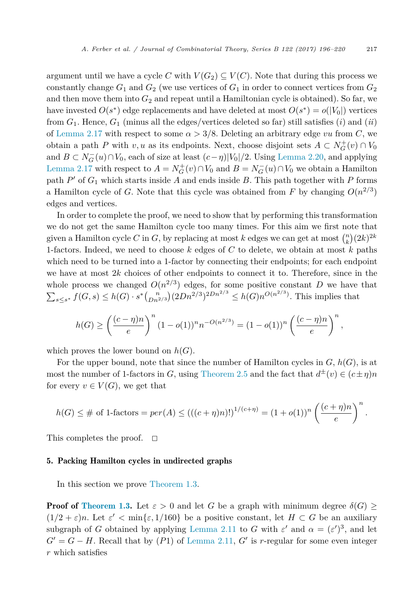argument until we have a cycle *C* with  $V(G_2) \subseteq V(C)$ . Note that during this process we constantly change  $G_1$  and  $G_2$  (we use vertices of  $G_1$  in order to connect vertices from  $G_2$ and then move them into  $G_2$  and repeat until a Hamiltonian cycle is obtained). So far, we have invested  $O(s^*)$  edge replacements and have deleted at most  $O(s^*) = o(|V_0|)$  vertices from  $G_1$ . Hence,  $G_1$  (minus all the edges/vertices deleted so far) still satisfies (*i*) and (*ii*) of [Lemma 2.17](#page-16-0) with respect to some  $\alpha > 3/8$ . Deleting an arbitrary edge *vu* from *C*, we obtain a path *P* with *v*, *u* as its endpoints. Next, choose disjoint sets  $A \subset N_G^+(v) \cap V_0$ and  $B \subset N_G^-(u) \cap V_0$ , each of size at least  $(c - \eta)|V_0|/2$ . Using [Lemma 2.20,](#page-17-0) and applying [Lemma 2.17](#page-16-0) with respect to  $A = N_G^+(v) \cap V_0$  and  $B = N_G^-(u) \cap V_0$  we obtain a Hamilton path  $P'$  of  $G_1$  which starts inside  $A$  and ends inside  $B$ . This path together with  $P$  forms a Hamilton cycle of *G*. Note that this cycle was obtained from *F* by changing  $O(n^{2/3})$ edges and vertices.

In order to complete the proof, we need to show that by performing this transformation we do not get the same Hamilton cycle too many times. For this aim we first note that given a Hamilton cycle *C* in *G*, by replacing at most *k* edges we can get at most  $\binom{n}{k} (2k)^{2k}$ 1-factors. Indeed, we need to choose *k* edges of *C* to delete, we obtain at most *k* paths which need to be turned into a 1-factor by connecting their endpoints; for each endpoint we have at most 2*k* choices of other endpoints to connect it to. Therefore, since in the whole process we changed  $O(n^{2/3})$  edges, for some positive constant *D* we have that  $\sum_{s\leq s^*} f(G,s) \leq h(G)\cdot s^*\binom{n}{Dn^{2/3}}(2Dn^{2/3})^{2Dn^{2/3}} \leq h(G)n^{O(n^{2/3})}$ . This implies that

$$
h(G) \ge \left(\frac{(c-\eta)n}{e}\right)^n (1 - o(1))^n n^{-O(n^{2/3})} = (1 - o(1))^n \left(\frac{(c-\eta)n}{e}\right)^n,
$$

which proves the lower bound on  $h(G)$ .

For the upper bound, note that since the number of Hamilton cycles in *G*, *h*(*G*), is at most the number of 1-factors in *G*, using [Theorem 2.5](#page-6-0) and the fact that  $d^{\pm}(v) \in (c \pm \eta)n$ for every  $v \in V(G)$ , we get that

$$
h(G) \leq \# \text{ of 1-factors} = per(A) \leq (((c + \eta)n)!)^{1/(c + \eta)} = (1 + o(1))^n \left(\frac{(c + \eta)n}{e}\right)^n.
$$

This completes the proof.  $\square$ 

#### 5. Packing Hamilton cycles in undirected graphs

In this section we prove [Theorem 1.3.](#page-2-0)

**Proof of [Theorem 1.3.](#page-2-0)** Let  $\varepsilon > 0$  and let *G* be a graph with minimum degree  $\delta(G) \geq$  $(1/2 + \varepsilon)n$ . Let  $\varepsilon' < \min\{\varepsilon, 1/160\}$  be a positive constant, let  $H \subset G$  be an auxiliary subgraph of *G* obtained by applying [Lemma 2.11](#page-11-0) to *G* with  $\varepsilon'$  and  $\alpha = (\varepsilon')^3$ , and let  $G' = G - H$ . Recall that by  $(P1)$  of [Lemma 2.11,](#page-11-0)  $G'$  is *r*-regular for some even integer *r* which satisfies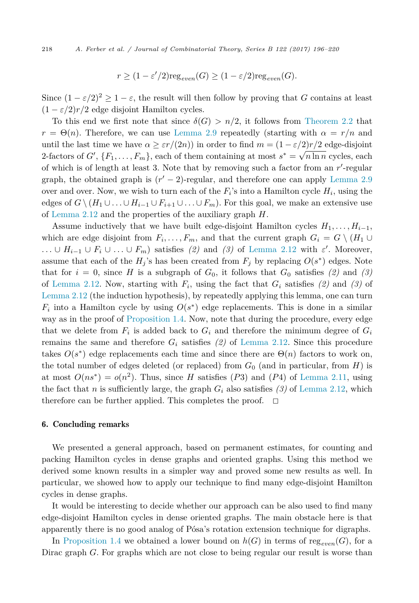$$
r \ge (1 - \varepsilon'/2) \text{reg}_{even}(G) \ge (1 - \varepsilon/2) \text{reg}_{even}(G).
$$

Since  $(1 - \varepsilon/2)^2 \ge 1 - \varepsilon$ , the result will then follow by proving that *G* contains at least  $(1 - \varepsilon/2)r/2$  edge disjoint Hamilton cycles.

To this end we first note that since  $\delta(G) > n/2$ , it follows from [Theorem 2.2](#page-5-0) that  $r = \Theta(n)$ . Therefore, we can use [Lemma 2.9](#page-9-0) repeatedly (starting with  $\alpha = r/n$  and until the last time we have  $\alpha \geq \varepsilon r/(2n)$ ) in order to find  $m = (1 - \varepsilon/2)r/2$  edge-disjoint 2-factors of *G*- ,  ${F_1, \ldots, F_m}$ , each of them containing at most  $s^* = \sqrt{n \ln n}$  cycles, each of which is of length at least 3. Note that by removing such a factor from an *r'*-regular graph, the obtained graph is  $(r'-2)$ -regular, and therefore one can apply [Lemma 2.9](#page-9-0) over and over. Now, we wish to turn each of the  $F_i$ 's into a Hamilton cycle  $H_i$ , using the edges of  $G \setminus (H_1 \cup \ldots \cup H_{i-1} \cup F_{i+1} \cup \ldots \cup F_m)$ . For this goal, we make an extensive use of [Lemma 2.12](#page-13-0) and the properties of the auxiliary graph *H*.

Assume inductively that we have built edge-disjoint Hamilton cycles  $H_1, \ldots, H_{i-1}$ , which are edge disjoint from  $F_i, \ldots, F_m$ , and that the current graph  $G_i = G \setminus (H_1 \cup$ *...* ∪ *H*<sub>*i*−1</sub> ∪ *F*<sub>*i*</sub> ∪ *...* ∪ *F*<sub>*m*</sub>) satisfies *(2)* and *(3)* of [Lemma 2.12](#page-13-0) with  $\varepsilon'$ . Moreover, assume that each of the  $H_j$ 's has been created from  $F_j$  by replacing  $O(s^*)$  edges. Note that for  $i = 0$ , since *H* is a subgraph of  $G_0$ , it follows that  $G_0$  satisfies (2) and (3) of [Lemma 2.12.](#page-13-0) Now, starting with *Fi*, using the fact that *G<sup>i</sup>* satisfies *(2)* and *(3)* of [Lemma 2.12](#page-13-0) (the induction hypothesis), by repeatedly applying this lemma, one can turn  $F_i$  into a Hamilton cycle by using  $O(s^*)$  edge replacements. This is done in a similar way as in the proof of [Proposition 1.4.](#page-3-0) Now, note that during the procedure, every edge that we delete from  $F_i$  is added back to  $G_i$  and therefore the minimum degree of  $G_i$ remains the same and therefore  $G_i$  satisfies (2) of [Lemma 2.12.](#page-13-0) Since this procedure takes  $O(s^*)$  edge replacements each time and since there are  $\Theta(n)$  factors to work on, the total number of edges deleted (or replaced) from  $G_0$  (and in particular, from  $H$ ) is at most  $O(ns^*) = o(n^2)$ . Thus, since *H* satisfies (*P3*) and (*P4*) of [Lemma 2.11,](#page-11-0) using the fact that *n* is sufficiently large, the graph  $G_i$  also satisfies (3) of [Lemma 2.12,](#page-13-0) which therefore can be further applied. This completes the proof.  $\Box$ 

#### 6. Concluding remarks

We presented a general approach, based on permanent estimates, for counting and packing Hamilton cycles in dense graphs and oriented graphs. Using this method we derived some known results in a simpler way and proved some new results as well. In particular, we showed how to apply our technique to find many edge-disjoint Hamilton cycles in dense graphs.

It would be interesting to decide whether our approach can be also used to find many edge-disjoint Hamilton cycles in dense oriented graphs. The main obstacle here is that apparently there is no good analog of Pósa's rotation extension technique for digraphs.

In [Proposition 1.4](#page-3-0) we obtained a lower bound on  $h(G)$  in terms of reg<sub>even</sub>(*G*), for a Dirac graph *G*. For graphs which are not close to being regular our result is worse than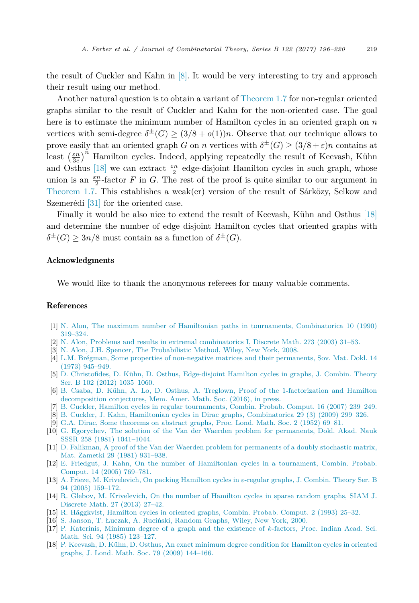<span id="page-23-0"></span>the result of Cuckler and Kahn in [8]. It would be very interesting to try and approach their result using our method.

Another natural question is to obtain a variant of [Theorem 1.7](#page-4-0) for non-regular oriented graphs similar to the result of Cuckler and Kahn for the non-oriented case. The goal here is to estimate the minimum number of Hamilton cycles in an oriented graph on *n* vertices with semi-degree  $\delta^{\pm}(G) \geq (3/8 + o(1))n$ . Observe that our technique allows to prove easily that an oriented graph *G* on *n* vertices with  $\delta^{\pm}(G) \geq (3/8 + \varepsilon)n$  contains at least  $\left(\frac{\varepsilon n}{3e}\right)^n$  Hamilton cycles. Indeed, applying repeatedly the result of Keevash, Kühn and Osthus [18] we can extract  $\frac{\varepsilon n}{2}$  edge-disjoint Hamilton cycles in such graph, whose union is an  $\frac{\varepsilon n}{2}$ -factor *F* in *G*. The rest of the proof is quite similar to our argument in [Theorem 1.7.](#page-4-0) This establishes a weak(er) version of the result of Sárközy, Selkow and Szemerédi [\[31\]](#page-24-0) for the oriented case.

Finally it would be also nice to extend the result of Keevash, Kühn and Osthus [18] and determine the number of edge disjoint Hamilton cycles that oriented graphs with  $\delta^{\pm}(G)$  > 3*n*/8 must contain as a function of  $\delta^{\pm}(G)$ .

# Acknowledgments

We would like to thank the anonymous referees for many valuable comments.

# References

- [1] N. Alon, The maximum number of Hamiltonian paths in tournaments, [Combinatorica](http://refhub.elsevier.com/S0095-8956(16)30036-3/bib416C6F6Es1) 10 (1990) [319–324.](http://refhub.elsevier.com/S0095-8956(16)30036-3/bib416C6F6Es1)
- [2] N. Alon, Problems and results in extremal [combinatorics I,](http://refhub.elsevier.com/S0095-8956(16)30036-3/bib416Cs1) Discrete Math. 273 (2003) 31–53.
- [3] N. Alon, J.H. Spencer, The [Probabilistic](http://refhub.elsevier.com/S0095-8956(16)30036-3/bib4153s1) Method, Wiley, New York, 2008.
- [4] L.M. Brégman, Some properties of [non-negative](http://refhub.elsevier.com/S0095-8956(16)30036-3/bib427265676D616Es1) matrices and their permanents, Sov. Mat. Dokl. 14 (1973) [945–949.](http://refhub.elsevier.com/S0095-8956(16)30036-3/bib427265676D616Es1)
- [5] D. Christofides, D. Kühn, D. Osthus, [Edge-disjoint](http://refhub.elsevier.com/S0095-8956(16)30036-3/bib434B4Fs1) Hamilton cycles in graphs, J. Combin. Theory Ser. B 102 (2012) [1035–1060.](http://refhub.elsevier.com/S0095-8956(16)30036-3/bib434B4Fs1)
- [6] B. Csaba, D. Kühn, A. Lo, D. Osthus, A. Treglown, Proof of the [1-factorization](http://refhub.elsevier.com/S0095-8956(16)30036-3/bib31666163746F72s1) and Hamilton [decomposition](http://refhub.elsevier.com/S0095-8956(16)30036-3/bib31666163746F72s1) conjectures, Mem. Amer. Math. Soc. (2016), in press.
- [7] B. Cuckler, Hamilton cycles in regular [tournaments,](http://refhub.elsevier.com/S0095-8956(16)30036-3/bib4375636B6C6572s1) Combin. Probab. Comput. 16 (2007) 239–249.
- [8] B. Cuckler, J. Kahn, Hamiltonian cycles in Dirac graphs, [Combinatorica](http://refhub.elsevier.com/S0095-8956(16)30036-3/bib434Bs1) 29 (3) (2009) 299–326.
- [9] G.A. Dirac, Some [theorems](http://refhub.elsevier.com/S0095-8956(16)30036-3/bib4469726163s1) on abstract graphs, Proc. Lond. Math. Soc. 2 (1952) 69–81.
- [10] G. Egorychev, The solution of the Van der Waerden problem for [permanents,](http://refhub.elsevier.com/S0095-8956(16)30036-3/bib45676F727963686576s1) Dokl. Akad. Nauk SSSR 258 (1981) [1041–1044.](http://refhub.elsevier.com/S0095-8956(16)30036-3/bib45676F727963686576s1)
- [11] D. Falikman, A proof of the Van der Waerden problem for [permanents](http://refhub.elsevier.com/S0095-8956(16)30036-3/bib46616C696B6D616Es1) of a doubly stochastic matrix, Mat. Zametki 29 (1981) [931–938.](http://refhub.elsevier.com/S0095-8956(16)30036-3/bib46616C696B6D616Es1)
- [12] E. Friedgut, J. Kahn, On the number of [Hamiltonian](http://refhub.elsevier.com/S0095-8956(16)30036-3/bib46724Bs1) cycles in a tournament, Combin. Probab. [Comput.](http://refhub.elsevier.com/S0095-8956(16)30036-3/bib46724Bs1) 14 (2005) 769–781.
- [13] A. Frieze, M. [Krivelevich,](http://refhub.elsevier.com/S0095-8956(16)30036-3/bib464Bs1) On packing Hamilton cycles in *ε*-regular graphs, J. Combin. Theory Ser. B 94 (2005) [159–172.](http://refhub.elsevier.com/S0095-8956(16)30036-3/bib464Bs1)
- [14] R. Glebov, M. [Krivelevich,](http://refhub.elsevier.com/S0095-8956(16)30036-3/bib474Bs1) On the number of Hamilton cycles in sparse random graphs, SIAM J. [Discrete](http://refhub.elsevier.com/S0095-8956(16)30036-3/bib474Bs1) Math. 27 (2013) 27–42.
- [15] R. [Häggkvist,](http://refhub.elsevier.com/S0095-8956(16)30036-3/bib486167676B76697374s1) Hamilton cycles in oriented graphs, Combin. Probab. Comput. 2 (1993) 25–32.
- [16] S. Janson, T. Łuczak, A. [Ruciński,](http://refhub.elsevier.com/S0095-8956(16)30036-3/bib4A4C52s1) Random Graphs, Wiley, New York, 2000.
- [17] P. [Katerinis,](http://refhub.elsevier.com/S0095-8956(16)30036-3/bib4B4154s1) Minimum degree of a graph and the existence of *k*-factors, Proc. Indian Acad. Sci. Math. Sci. 94 (1985) [123–127.](http://refhub.elsevier.com/S0095-8956(16)30036-3/bib4B4154s1)
- [18] P. Keevash, D. Kühn, D. Osthus, An exact [minimum](http://refhub.elsevier.com/S0095-8956(16)30036-3/bib4B4B4Fs1) degree condition for Hamilton cycles in oriented graphs, J. Lond. Math. Soc. 79 (2009) [144–166.](http://refhub.elsevier.com/S0095-8956(16)30036-3/bib4B4B4Fs1)